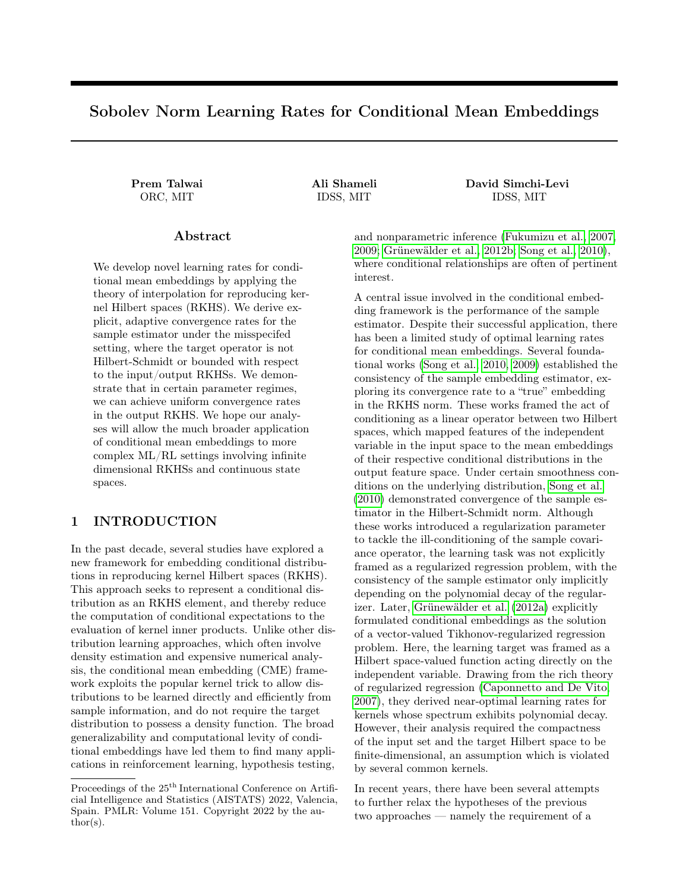# Sobolev Norm Learning Rates for Conditional Mean Embeddings

Prem Talwai Ali Shameli David Simchi-Levi ORC, MIT IDSS, MIT IDSS, MIT

> and nonparametric inference [\(Fukumizu et al., 2007,](#page-8-0) [2009;](#page-8-1) [Grünewälder et al., 2012b;](#page-8-2) [Song et al., 2010\)](#page-8-3), where conditional relationships are often of pertinent interest.

> A central issue involved in the conditional embedding framework is the performance of the sample estimator. Despite their successful application, there has been a limited study of optimal learning rates for conditional mean embeddings. Several foundational works [\(Song et al., 2010,](#page-8-3) [2009\)](#page-8-4) established the consistency of the sample embedding estimator, exploring its convergence rate to a "true" embedding in the RKHS norm. These works framed the act of conditioning as a linear operator between two Hilbert spaces, which mapped features of the independent variable in the input space to the mean embeddings of their respective conditional distributions in the output feature space. Under certain smoothness conditions on the underlying distribution, [Song et al.](#page-8-3) [\(2010\)](#page-8-3) demonstrated convergence of the sample estimator in the Hilbert-Schmidt norm. Although these works introduced a regularization parameter to tackle the ill-conditioning of the sample covariance operator, the learning task was not explicitly framed as a regularized regression problem, with the consistency of the sample estimator only implicitly depending on the polynomial decay of the regularizer. Later, [Grünewälder et al.](#page-8-5) [\(2012a\)](#page-8-5) explicitly formulated conditional embeddings as the solution of a vector-valued Tikhonov-regularized regression problem. Here, the learning target was framed as a Hilbert space-valued function acting directly on the independent variable. Drawing from the rich theory of regularized regression [\(Caponnetto and De Vito,](#page-8-6) [2007\)](#page-8-6), they derived near-optimal learning rates for kernels whose spectrum exhibits polynomial decay. However, their analysis required the compactness of the input set and the target Hilbert space to be finite-dimensional, an assumption which is violated by several common kernels.

In recent years, there have been several attempts to further relax the hypotheses of the previous two approaches — namely the requirement of a

We develop novel learning rates for conditional mean embeddings by applying the theory of interpolation for reproducing kernel Hilbert spaces (RKHS). We derive explicit, adaptive convergence rates for the sample estimator under the misspecifed setting, where the target operator is not Hilbert-Schmidt or bounded with respect to the input/output RKHSs. We demonstrate that in certain parameter regimes, we can achieve uniform convergence rates in the output RKHS. We hope our analyses will allow the much broader application of conditional mean embeddings to more complex ML/RL settings involving infinite dimensional RKHSs and continuous state spaces.

Abstract

# 1 INTRODUCTION

In the past decade, several studies have explored a new framework for embedding conditional distributions in reproducing kernel Hilbert spaces (RKHS). This approach seeks to represent a conditional distribution as an RKHS element, and thereby reduce the computation of conditional expectations to the evaluation of kernel inner products. Unlike other distribution learning approaches, which often involve density estimation and expensive numerical analysis, the conditional mean embedding (CME) framework exploits the popular kernel trick to allow distributions to be learned directly and efficiently from sample information, and do not require the target distribution to possess a density function. The broad generalizability and computational levity of conditional embeddings have led them to find many applications in reinforcement learning, hypothesis testing,

Proceedings of the  $25<sup>th</sup>$  International Conference on Artificial Intelligence and Statistics (AISTATS) 2022, Valencia, Spain. PMLR: Volume 151. Copyright 2022 by the au- $\text{thor}(s)$ .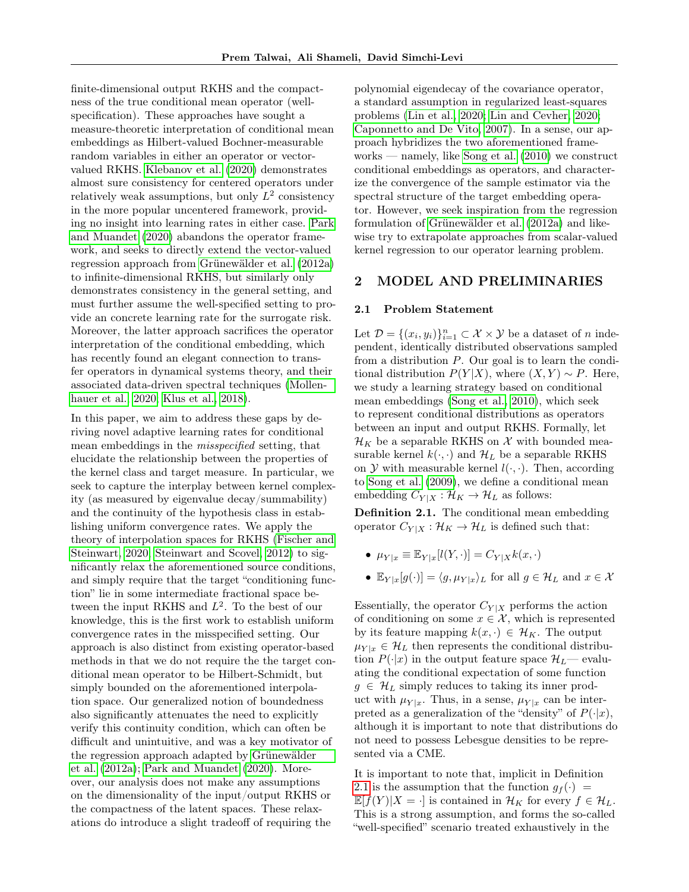finite-dimensional output RKHS and the compactness of the true conditional mean operator (wellspecification). These approaches have sought a measure-theoretic interpretation of conditional mean embeddings as Hilbert-valued Bochner-measurable random variables in either an operator or vectorvalued RKHS. [Klebanov et al.](#page-8-7) [\(2020\)](#page-8-7) demonstrates almost sure consistency for centered operators under relatively weak assumptions, but only  $L^2$  consistency in the more popular uncentered framework, providing no insight into learning rates in either case. [Park](#page-8-8) [and Muandet](#page-8-8) [\(2020\)](#page-8-8) abandons the operator framework, and seeks to directly extend the vector-valued regression approach from [Grünewälder et al.](#page-8-5) [\(2012a\)](#page-8-5) to infinite-dimensional RKHS, but similarly only demonstrates consistency in the general setting, and must further assume the well-specified setting to provide an concrete learning rate for the surrogate risk. Moreover, the latter approach sacrifices the operator interpretation of the conditional embedding, which has recently found an elegant connection to transfer operators in dynamical systems theory, and their associated data-driven spectral techniques [\(Mollen](#page-8-9)[hauer et al., 2020;](#page-8-9) [Klus et al., 2018\)](#page-8-10).

In this paper, we aim to address these gaps by deriving novel adaptive learning rates for conditional mean embeddings in the *misspecified* setting, that elucidate the relationship between the properties of the kernel class and target measure. In particular, we seek to capture the interplay between kernel complexity (as measured by eigenvalue decay/summability) and the continuity of the hypothesis class in establishing uniform convergence rates. We apply the theory of interpolation spaces for RKHS [\(Fischer and](#page-8-11) [Steinwart, 2020;](#page-8-11) [Steinwart and Scovel, 2012\)](#page-9-0) to significantly relax the aforementioned source conditions, and simply require that the target "conditioning function" lie in some intermediate fractional space between the input RKHS and  $L^2$ . To the best of our knowledge, this is the first work to establish uniform convergence rates in the misspecified setting. Our approach is also distinct from existing operator-based methods in that we do not require the the target conditional mean operator to be Hilbert-Schmidt, but simply bounded on the aforementioned interpolation space. Our generalized notion of boundedness also significantly attenuates the need to explicitly verify this continuity condition, which can often be difficult and unintuitive, and was a key motivator of the regression approach adapted by [Grünewälder](#page-8-5) [et al.](#page-8-5) [\(2012a\)](#page-8-5); [Park and Muandet](#page-8-8) [\(2020\)](#page-8-8). Moreover, our analysis does not make any assumptions on the dimensionality of the input/output RKHS or the compactness of the latent spaces. These relaxations do introduce a slight tradeoff of requiring the

polynomial eigendecay of the covariance operator, a standard assumption in regularized least-squares problems [\(Lin et al., 2020;](#page-8-12) [Lin and Cevher, 2020;](#page-8-13) [Caponnetto and De Vito, 2007\)](#page-8-6). In a sense, our approach hybridizes the two aforementioned frameworks — namely, like [Song et al.](#page-8-3) [\(2010\)](#page-8-3) we construct conditional embeddings as operators, and characterize the convergence of the sample estimator via the spectral structure of the target embedding operator. However, we seek inspiration from the regression formulation of [Grünewälder et al.](#page-8-5) [\(2012a\)](#page-8-5) and likewise try to extrapolate approaches from scalar-valued kernel regression to our operator learning problem.

### 2 MODEL AND PRELIMINARIES

## 2.1 Problem Statement

Let  $\mathcal{D} = \{(x_i, y_i)\}_{i=1}^n \subset \mathcal{X} \times \mathcal{Y}$  be a dataset of *n* independent, identically distributed observations sampled from a distribution P. Our goal is to learn the conditional distribution  $P(Y|X)$ , where  $(X, Y) \sim P$ . Here, we study a learning strategy based on conditional mean embeddings [\(Song et al., 2010\)](#page-8-3), which seek to represent conditional distributions as operators between an input and output RKHS. Formally, let  $\mathcal{H}_K$  be a separable RKHS on  $\mathcal X$  with bounded measurable kernel  $k(\cdot, \cdot)$  and  $\mathcal{H}_L$  be a separable RKHS on  $\mathcal Y$  with measurable kernel  $l(\cdot, \cdot)$ . Then, according to [Song et al.](#page-8-4) [\(2009\)](#page-8-4), we define a conditional mean embedding  $C_{Y|X}: \mathcal{H}_K \to \mathcal{H}_L$  as follows:

<span id="page-1-0"></span>Definition 2.1. The conditional mean embedding operator  $C_{Y|X}: \mathcal{H}_K \to \mathcal{H}_L$  is defined such that:

- $\mu_{Y|x} \equiv \mathbb{E}_{Y|x}[l(Y,\cdot)] = C_{Y|X}k(x,\cdot)$
- $\mathbb{E}_{Y|x}[g(\cdot)] = \langle g, \mu_{Y|x} \rangle_L$  for all  $g \in \mathcal{H}_L$  and  $x \in \mathcal{X}$

Essentially, the operator  $C_{Y|X}$  performs the action of conditioning on some  $x \in \mathcal{X}$ , which is represented by its feature mapping  $k(x, \cdot) \in \mathcal{H}_K$ . The output  $\mu_{Y|x} \in \mathcal{H}_L$  then represents the conditional distribution  $P(\cdot|x)$  in the output feature space  $\mathcal{H}_L$ — evaluating the conditional expectation of some function  $g \in \mathcal{H}_L$  simply reduces to taking its inner product with  $\mu_{Y|x}$ . Thus, in a sense,  $\mu_{Y|x}$  can be interpreted as a generalization of the "density" of  $P(\cdot|x)$ , although it is important to note that distributions do not need to possess Lebesgue densities to be represented via a CME.

It is important to note that, implicit in Definition [2.1](#page-1-0) is the assumption that the function  $g_f(\cdot)$  =  $\mathbb{E}[f(Y)|X = \cdot]$  is contained in  $\mathcal{H}_K$  for every  $f \in \mathcal{H}_L$ . This is a strong assumption, and forms the so-called "well-specified" scenario treated exhaustively in the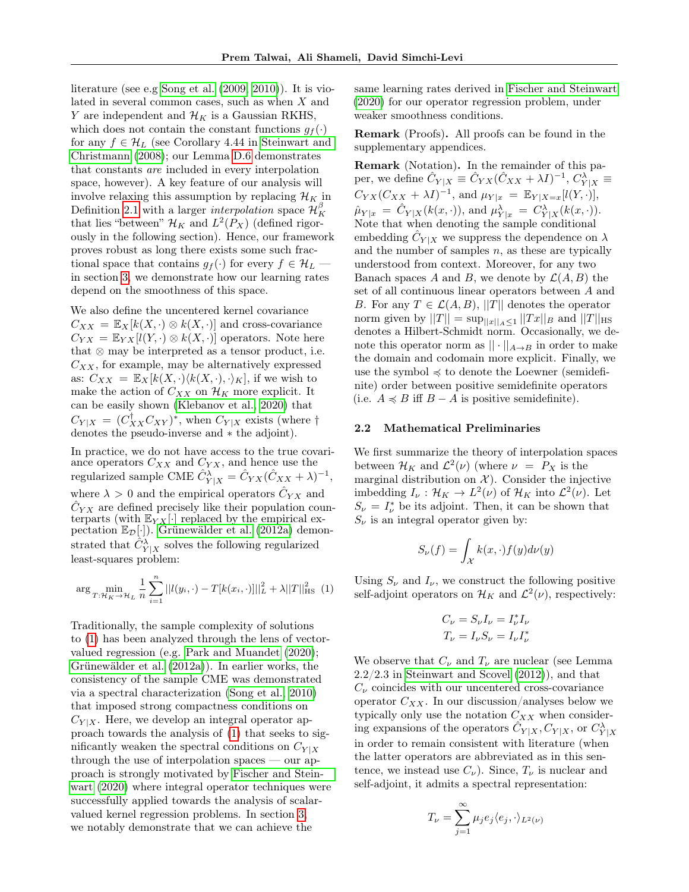literature (see e.g [Song et al.](#page-8-4) [\(2009,](#page-8-4) [2010\)](#page-8-3)). It is violated in several common cases, such as when X and Y are independent and  $\mathcal{H}_K$  is a Gaussian RKHS, which does not contain the constant functions  $g_f(\cdot)$ for any  $f \in \mathcal{H}_L$  (see Corollary 4.44 in [Steinwart and](#page-9-1) [Christmann](#page-9-1) [\(2008\)](#page-9-1); our Lemma [D.6](#page-24-0) demonstrates that constants are included in every interpolation space, however). A key feature of our analysis will involve relaxing this assumption by replacing  $\mathcal{H}_K$  in Definition [2.1](#page-1-0) with a larger *interpolation* space  $\mathcal{H}_K^{\beta}$ that lies "between"  $\mathcal{H}_K$  and  $L^2(P_X)$  (defined rigorously in the following section). Hence, our framework proves robust as long there exists some such fractional space that contains  $g_f(\cdot)$  for every  $f \in \mathcal{H}_L$ in section [3,](#page-6-0) we demonstrate how our learning rates depend on the smoothness of this space.

We also define the uncentered kernel covariance  $C_{XX} = \mathbb{E}_X[k(X, \cdot) \otimes k(X, \cdot)]$  and cross-covariance  $C_{YX} = \mathbb{E}_{YX}[l(Y, \cdot) \otimes k(X, \cdot)]$  operators. Note here that  $\otimes$  may be interpreted as a tensor product, i.e.  $C_{XX}$ , for example, may be alternatively expressed as:  $C_{XX} = \mathbb{E}_X[k(X, \cdot) \langle k(X, \cdot), \cdot \rangle_K]$ , if we wish to make the action of  $C_{XX}$  on  $\mathcal{H}_K$  more explicit. It can be easily shown [\(Klebanov et al., 2020\)](#page-8-7) that  $C_{Y|X} = (C_{XX}^{\dagger} C_{XY})^*$ , when  $C_{Y|X}$  exists (where  $\dagger$ denotes the pseudo-inverse and ∗ the adjoint).

In practice, we do not have access to the true covariance operators  $C_{XX}$  and  $C_{YX}$ , and hence use the regularized sample CME  $\hat{C}_{Y|X}^{\lambda} = \hat{C}_{YX}(\hat{C}_{XX} + \lambda)^{-1}$ , where  $\lambda > 0$  and the empirical operators  $\hat{C}_{YX}$  and  $\hat{C}_{YX}$  are defined precisely like their population counterparts (with  $\mathbb{E}_{YX}[\cdot]$  replaced by the empirical expectation  $\mathbb{E}_{\mathcal{D}}[\cdot]$ ). [Grünewälder et al.](#page-8-5) [\(2012a\)](#page-8-5) demonstrated that  $\hat{C}_{Y|X}^{\lambda}$  solves the following regularized least-squares problem:

<span id="page-2-0"></span>
$$
\arg \min_{T: \mathcal{H}_K \to \mathcal{H}_L} \frac{1}{n} \sum_{i=1}^n ||l(y_i, \cdot) - T[k(x_i, \cdot)]||_L^2 + \lambda ||T||_{\text{HS}}^2 \tag{1}
$$

Traditionally, the sample complexity of solutions to [\(1\)](#page-2-0) has been analyzed through the lens of vectorvalued regression (e.g. [Park and Muandet](#page-8-8) [\(2020\)](#page-8-8); [Grünewälder et al.](#page-8-5) [\(2012a\)](#page-8-5)). In earlier works, the consistency of the sample CME was demonstrated via a spectral characterization [\(Song et al., 2010\)](#page-8-3) that imposed strong compactness conditions on  $C_{Y|X}$ . Here, we develop an integral operator approach towards the analysis of [\(1\)](#page-2-0) that seeks to significantly weaken the spectral conditions on  $C_{Y|X}$ through the use of interpolation spaces — our approach is strongly motivated by [Fischer and Stein](#page-8-11)[wart](#page-8-11) [\(2020\)](#page-8-11) where integral operator techniques were successfully applied towards the analysis of scalarvalued kernel regression problems. In section [3,](#page-6-0) we notably demonstrate that we can achieve the

same learning rates derived in [Fischer and Steinwart](#page-8-11) [\(2020\)](#page-8-11) for our operator regression problem, under weaker smoothness conditions.

Remark (Proofs). All proofs can be found in the supplementary appendices.

Remark (Notation). In the remainder of this paper, we define  $\hat{C}_{Y|X} \equiv \hat{C}_{YX} (\hat{C}_{XX} + \lambda I)^{-1}, C_{Y|X}^{\lambda} \equiv$  $C_{YX}(C_{XX} + \lambda I)^{-1}$ , and  $\mu_{Y|x} = \mathbb{E}_{Y|X=x}[l(Y, \cdot)],$  $\hat{\mu}_{Y|x} = \hat{C}_{Y|X}(k(x, \cdot)), \text{ and } \mu_{Y|x}^{\lambda} = C_{Y|X}^{\lambda}(k(x, \cdot)).$ Note that when denoting the sample conditional embedding  $\hat{C}_{Y|X}$  we suppress the dependence on  $\lambda$ and the number of samples  $n$ , as these are typically understood from context. Moreover, for any two Banach spaces A and B, we denote by  $\mathcal{L}(A, B)$  the set of all continuous linear operators between A and B. For any  $T \in \mathcal{L}(A, B)$ , ||T|| denotes the operator norm given by  $||T|| = \sup_{||x||_A \le 1} ||Tx||_B$  and  $||T||_{\text{HS}}$ denotes a Hilbert-Schmidt norm. Occasionally, we denote this operator norm as  $|| \cdot ||_{A \to B}$  in order to make the domain and codomain more explicit. Finally, we use the symbol ≼ to denote the Loewner (semidefinite) order between positive semidefinite operators (i.e.  $A \preccurlyeq B$  iff  $B - A$  is positive semidefinite).

#### <span id="page-2-1"></span>2.2 Mathematical Preliminaries

We first summarize the theory of interpolation spaces between  $\mathcal{H}_K$  and  $\mathcal{L}^2(\nu)$  (where  $\nu = P_X$  is the marginal distribution on  $\mathcal{X}$ ). Consider the injective imbedding  $I_{\nu}$ :  $\mathcal{H}_K \to L^2(\nu)$  of  $\mathcal{H}_K$  into  $\mathcal{L}^2(\nu)$ . Let  $S_{\nu} = I_{\nu}^{*}$  be its adjoint. Then, it can be shown that  $S_{\nu}$  is an integral operator given by:

$$
S_{\nu}(f) = \int_{\mathcal{X}} k(x,\cdot) f(y) d\nu(y)
$$

Using  $S_{\nu}$  and  $I_{\nu}$ , we construct the following positive self-adjoint operators on  $\mathcal{H}_K$  and  $\mathcal{L}^2(\nu)$ , respectively:

$$
C_{\nu} = S_{\nu}I_{\nu} = I_{\nu}^{*}I_{\nu}
$$

$$
T_{\nu} = I_{\nu}S_{\nu} = I_{\nu}I_{\nu}^{*}
$$

We observe that  $C_{\nu}$  and  $T_{\nu}$  are nuclear (see Lemma 2.2/2.3 in [Steinwart and Scovel](#page-9-0) [\(2012\)](#page-9-0)), and that  $C_{\nu}$  coincides with our uncentered cross-covariance operator  $C_{XX}$ . In our discussion/analyses below we typically only use the notation  $C_{XX}$  when considering expansions of the operators  $\hat{C}_{Y|X}, C_{Y|X}$ , or  $C_{Y|X}^{\lambda}$ in order to remain consistent with literature (when the latter operators are abbreviated as in this sentence, we instead use  $C_{\nu}$ ). Since,  $T_{\nu}$  is nuclear and self-adjoint, it admits a spectral representation:

$$
T_{\nu} = \sum_{j=1}^{\infty} \mu_j e_j \langle e_j, \cdot \rangle_{L^2(\nu)}
$$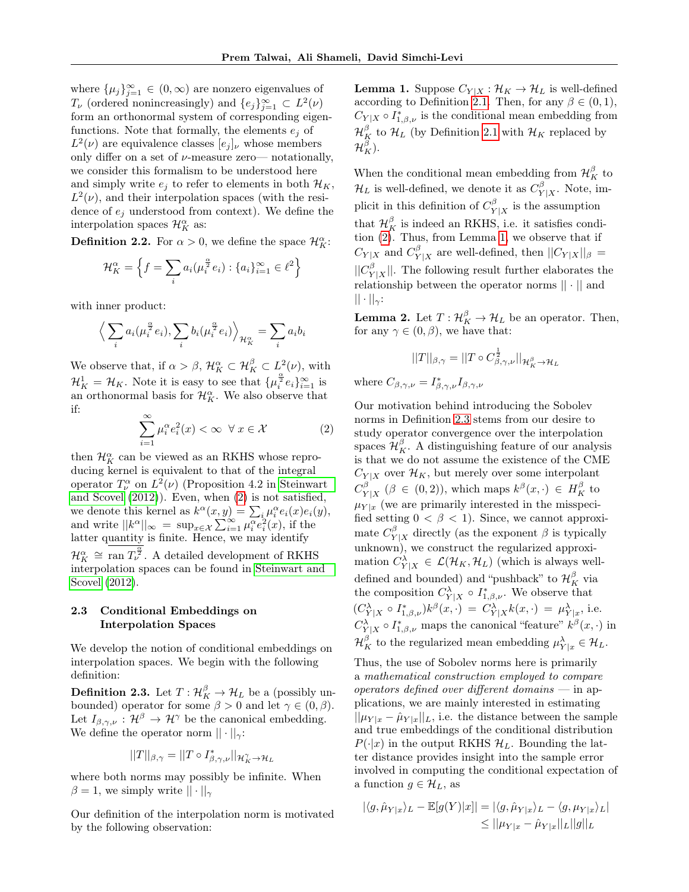where  $\{\mu_j\}_{j=1}^{\infty} \in (0,\infty)$  are nonzero eigenvalues of  $T_{\nu}$  (ordered nonincreasingly) and  $\{e_j\}_{j=1}^{\infty} \subset L^2(\nu)$ form an orthonormal system of corresponding eigenfunctions. Note that formally, the elements  $e_i$  of  $L^2(\nu)$  are equivalence classes  $[e_j]_{\nu}$  whose members only differ on a set of  $\nu$ -measure zero— notationally, we consider this formalism to be understood here and simply write  $e_i$  to refer to elements in both  $\mathcal{H}_K$ ,  $L^2(\nu)$ , and their interpolation spaces (with the residence of  $e_i$  understood from context). We define the interpolation spaces  $\mathcal{H}_K^{\alpha}$  as:

**Definition 2.2.** For  $\alpha > 0$ , we define the space  $\mathcal{H}_K^{\alpha}$ :

$$
\mathcal{H}_K^{\alpha} = \left\{ f = \sum_i a_i (\mu_i^{\frac{\alpha}{2}} e_i) : \{a_i\}_{i=1}^{\infty} \in \ell^2 \right\}
$$

with inner product:

$$
\left\langle \sum_i a_i(\mu_i^{\frac{\alpha}{2}} e_i), \sum_i b_i(\mu_i^{\frac{\alpha}{2}} e_i) \right\rangle_{\mathcal{H}_K^{\alpha}} = \sum_i a_i b_i
$$

We observe that, if  $\alpha > \beta$ ,  $\mathcal{H}_K^{\alpha} \subset \mathcal{H}_K^{\beta} \subset L^2(\nu)$ , with  $\mathcal{H}_K^1 = \mathcal{H}_K$ . Note it is easy to see that  $\{\mu_i^{\frac{\alpha}{2}}e_i\}_{i=1}^{\infty}$  is an orthonormal basis for  $\mathcal{H}_K^{\alpha}$ . We also observe that if:

<span id="page-3-0"></span>
$$
\sum_{i=1}^{\infty} \mu_i^{\alpha} e_i^2(x) < \infty \ \forall \ x \in \mathcal{X} \tag{2}
$$

then  $\mathcal{H}_K^\alpha$  can be viewed as an RKHS whose reproducing kernel is equivalent to that of the integral operator  $T^{\alpha}_{\nu}$  on  $L^2(\nu)$  (Proposition 4.2 in [Steinwart](#page-9-0) [and Scovel](#page-9-0) [\(2012\)](#page-9-0)). Even, when [\(2\)](#page-3-0) is not satisfied, we denote this kernel as  $k^{\alpha}(x, y) = \sum_{i} \mu_i^{\alpha} e_i(x) e_i(y)$ , and write  $||k^{\alpha}||_{\infty} = \sup_{x \in \mathcal{X}} \sum_{i=1}^{\infty} \mu_i^{\alpha} e_i^2(x)$ , if the latter quantity is finite. Hence, we may identify  $\mathcal{H}_K^{\alpha} \cong \text{ran } T_{\nu}^{\frac{\alpha}{2}}$ . A detailed development of RKHS interpolation spaces can be found in [Steinwart and](#page-9-0) [Scovel](#page-9-0) [\(2012\)](#page-9-0).

## <span id="page-3-3"></span>2.3 Conditional Embeddings on Interpolation Spaces

We develop the notion of conditional embeddings on interpolation spaces. We begin with the following definition:

<span id="page-3-2"></span>**Definition 2.3.** Let  $T: \mathcal{H}_K^{\beta} \to \mathcal{H}_L$  be a (possibly unbounded) operator for some  $\beta > 0$  and let  $\gamma \in (0, \beta)$ . Let  $I_{\beta,\gamma,\nu} : \mathcal{H}^{\beta} \to \mathcal{H}^{\gamma}$  be the canonical embedding. We define the operator norm  $|| \cdot ||_{\gamma}$ :

$$
||T||_{\beta,\gamma} = ||T \circ I^*_{\beta,\gamma,\nu}||_{\mathcal{H}^\gamma_K \to \mathcal{H}_L}
$$

where both norms may possibly be infinite. When  $\beta = 1$ , we simply write  $|| \cdot ||_{\gamma}$ 

Our definition of the interpolation norm is motivated by the following observation:

<span id="page-3-1"></span>**Lemma 1.** Suppose  $C_{Y|X} : \mathcal{H}_K \to \mathcal{H}_L$  is well-defined according to Definition [2.1.](#page-1-0) Then, for any  $\beta \in (0,1)$ ,  $C_{Y|X} \circ I_{1,\beta,\nu}^*$  is the conditional mean embedding from  $\mathcal{H}_K^{\beta}$  to  $\mathcal{H}_L$  (by Definition [2.1](#page-1-0) with  $\mathcal{H}_K$  replaced by  $\mathcal{H}^\beta_K$ ).

When the conditional mean embedding from  $\mathcal{H}_K^{\beta}$  to  $\mathcal{H}_L$  is well-defined, we denote it as  $C_Y^{\beta}$  $Y|X$ . Note, implicit in this definition of  $C_V^{\beta}$  $Y|X$  is the assumption that  $\mathcal{H}_K^{\beta}$  is indeed an RKHS, i.e. it satisfies condition [\(2\)](#page-3-0). Thus, from Lemma [1,](#page-3-1) we observe that if  $C_{Y|X}$  and  $C_{Y}^{\beta}$  $Y|X|Y|X$  are well-defined, then  $||C_{Y|X}||_{\beta} =$  $||C_v^{\beta}$  $|Y|X$ . The following result further elaborates the relationship between the operator norms || · || and  $|| \cdot ||_{\gamma}$ :

<span id="page-3-4"></span>**Lemma 2.** Let  $T: \mathcal{H}_K^{\beta} \to \mathcal{H}_L$  be an operator. Then, for any  $\gamma \in (0, \beta)$ , we have that:

$$
||T||_{\beta,\gamma} = ||T \circ C_{\beta,\gamma,\nu}^{\frac{1}{2}}||_{\mathcal{H}_K^{\beta} \to \mathcal{H}_L}
$$

where  $C_{\beta,\gamma,\nu} = I^*_{\beta,\gamma,\nu} I_{\beta,\gamma,\nu}$ 

Our motivation behind introducing the Sobolev norms in Definition [2.3](#page-3-2) stems from our desire to study operator convergence over the interpolation spaces  $\mathcal{H}_K^{\beta}$ . A distinguishing feature of our analysis is that we do not assume the existence of the CME  $C_{Y|X}$  over  $\mathcal{H}_K$ , but merely over some interpolant  $C_{V}^{\beta}$  $Y|X \mid Y \in (0,2)$ , which maps  $k^{\beta}(x, \cdot) \in H_K^{\beta}$  to  $\mu_{Y|x}$  (we are primarily interested in the misspecified setting  $0 < \beta < 1$ ). Since, we cannot approximate  $C_V^{\beta}$  $Y|X$  directly (as the exponent  $\beta$  is typically unknown), we construct the regularized approximation  $C_{Y|X}^{\lambda} \in \mathcal{L}(\mathcal{H}_K, \mathcal{H}_L)$  (which is always welldefined and bounded) and "pushback" to  $\mathcal{H}_K^{\beta}$  via the composition  $C_{Y|X}^{\lambda} \circ I_{1,\beta,\nu}^*$ . We observe that  $(C_{Y|X}^{\lambda} \circ I_{1,\beta,\nu}^*)k^{\beta}(x,\cdot) = C_{Y|X}^{\lambda}k(x,\cdot) = \mu_{Y|x}^{\lambda},$  i.e.  $C_{Y|X}^{\lambda} \circ I_{1,\beta,\nu}^{*}$  maps the canonical "feature"  $k^{\beta}(x,\cdot)$  in  $\mathcal{H}^{\beta}_K$  to the regularized mean embedding  $\mu^{\lambda}_{Y|x} \in \mathcal{H}_L$ .

Thus, the use of Sobolev norms here is primarily a mathematical construction employed to compare operators defined over different domains  $-$  in applications, we are mainly interested in estimating  $||\mu_{Y|x} - \hat{\mu}_{Y|x}||_L$ , i.e. the distance between the sample and true embeddings of the conditional distribution  $P(\cdot|x)$  in the output RKHS  $\mathcal{H}_L$ . Bounding the latter distance provides insight into the sample error involved in computing the conditional expectation of a function  $g \in \mathcal{H}_L$ , as

$$
|\langle g, \hat{\mu}_{Y|x}\rangle_L - \mathbb{E}[g(Y)|x]| = |\langle g, \hat{\mu}_{Y|x}\rangle_L - \langle g, \mu_{Y|x}\rangle_L|
$$
  

$$
\leq ||\mu_{Y|x} - \hat{\mu}_{Y|x}||_L||g||_L
$$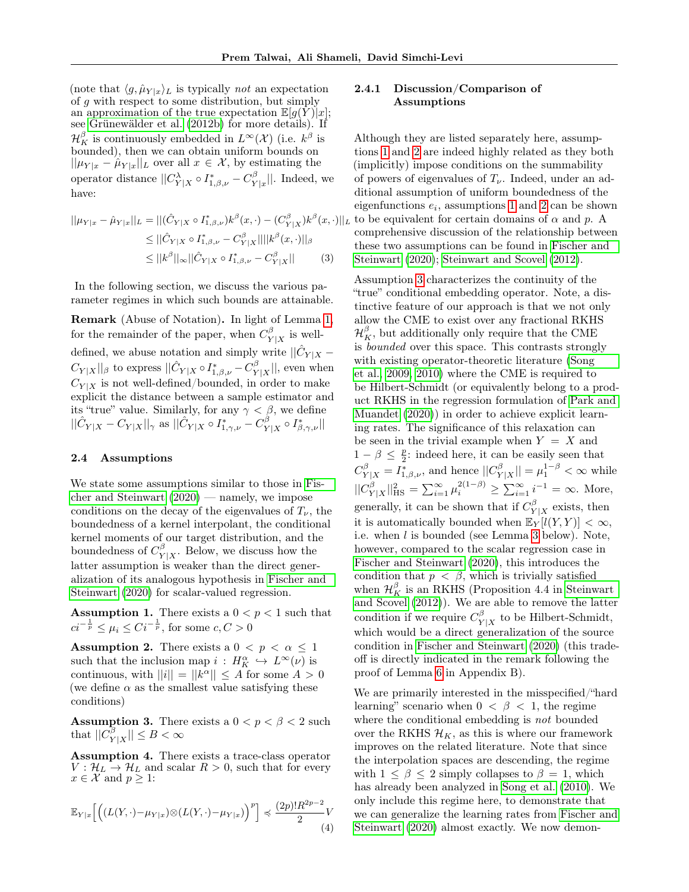(note that  $\langle g, \hat{\mu}_{Y|x}\rangle_L$  is typically *not* an expectation of g with respect to some distribution, but simply an approximation of the true expectation  $\mathbb{E}[g(Y)]x$ ; see [Grünewälder et al.](#page-8-2) [\(2012b\)](#page-8-2) for more details). If  $\mathcal{H}^{\beta}_K$  is continuously embedded in  $L^{\infty}(\mathcal{X})$  (i.e.  $k^{\beta}$  is bounded), then we can obtain uniform bounds on  $||\mu_{Y|x} - \hat{\mu}_{Y|x}||_L$  over all  $x \in \mathcal{X}$ , by estimating the operator distance  $||C_{Y|X}^{\lambda} \circ I_{1,\beta,\nu}^* - C_Y^{\beta}$  $Y^{\beta}_{Y|x}$ . Indeed, we have:

$$
||\mu_{Y|x} - \hat{\mu}_{Y|x}||_{L} = ||(\hat{C}_{Y|X} \circ I_{1,\beta,\nu}^{*})k^{\beta}(x,\cdot) - (C_{Y|X}^{\beta})k^{\beta}(x,\cdot)||_{1}
$$
  
\n
$$
\leq ||\hat{C}_{Y|X} \circ I_{1,\beta,\nu}^{*} - C_{Y|X}^{\beta}||||k^{\beta}(x,\cdot)||_{\beta}
$$
  
\n
$$
\leq ||k^{\beta}||_{\infty} ||\hat{C}_{Y|X} \circ I_{1,\beta,\nu}^{*} - C_{Y|X}^{\beta}||_{\infty}
$$
(3)

In the following section, we discuss the various parameter regimes in which such bounds are attainable.

Remark (Abuse of Notation). In light of Lemma [1,](#page-3-1) for the remainder of the paper, when  $C_V^{\beta}$  $Y|X$  is welldefined, we abuse notation and simply write  $||\hat{C}_{Y|X} C_{Y|X} ||_\beta$  to express  $|| \hat{C}_{Y|X} \circ I_{1,\beta,\nu}^* - C_Y^\beta$  $||Y|X||$ , even when  $C_{Y|X}$  is not well-defined/bounded, in order to make explicit the distance between a sample estimator and its "true" value. Similarly, for any  $\gamma < \beta$ , we define  $||\hat C_{Y|X} - C_{Y|X}||_\gamma$  as  $||\hat C_{Y|X} \circ I^*_{1,\gamma,\nu} - C_Y^\beta$  $_{Y|X}^{\beta}\circ I_{\beta,\gamma,\nu}^{\ast}\vert\vert$ 

### <span id="page-4-6"></span>2.4 Assumptions

We state some assumptions similar to those in [Fis](#page-8-11)[cher and Steinwart](#page-8-11) [\(2020\)](#page-8-11) — namely, we impose conditions on the decay of the eigenvalues of  $T_{\nu}$ , the boundedness of a kernel interpolant, the conditional kernel moments of our target distribution, and the boundedness of  $C_V^{\beta}$  $Y|X$ . Below, we discuss how the latter assumption is weaker than the direct generalization of its analogous hypothesis in [Fischer and](#page-8-11) [Steinwart](#page-8-11) [\(2020\)](#page-8-11) for scalar-valued regression.

<span id="page-4-0"></span>**Assumption 1.** There exists a  $0 < p < 1$  such that  $ci^{-\frac{1}{p}} \leq \mu_i \leq Ci^{-\frac{1}{p}},$  for some  $c, C > 0$ 

<span id="page-4-1"></span>**Assumption 2.** There exists a  $0 < p < \alpha \leq 1$ such that the inclusion map  $i: H_K^{\alpha} \hookrightarrow L^{\infty}(\nu)$  is continuous, with  $||i|| = ||k^{\alpha}|| \leq A$  for some  $A > 0$ (we define  $\alpha$  as the smallest value satisfying these conditions)

<span id="page-4-2"></span>**Assumption 3.** There exists a  $0 < p < \beta < 2$  such that  $||C_V^{\beta}$  $|Y|X| \leq B < \infty$ 

<span id="page-4-3"></span>Assumption 4. There exists a trace-class operator  $V: \mathcal{H}_L \to \mathcal{H}_L$  and scalar  $R > 0$ , such that for every  $x \in \mathcal{X}$  and  $p \geq 1$ :

$$
\mathbb{E}_{Y|x}\Big[\Big(\big(L(Y,\cdot)-\mu_{Y|x}\big)\otimes\big(L(Y,\cdot)-\mu_{Y|x}\big)\Big)^p\Big]\preccurlyeq \frac{(2p)!R^{2p-2}}{2}V\tag{4}
$$

## <span id="page-4-5"></span>2.4.1 Discussion/Comparison of Assumptions

 $(x, \cdot)||_L$  to be equivalent for certain domains of  $\alpha$  and  $p$ . A Although they are listed separately here, assumptions [1](#page-4-0) and [2](#page-4-1) are indeed highly related as they both (implicitly) impose conditions on the summability of powers of eigenvalues of  $T_{\nu}$ . Indeed, under an additional assumption of uniform boundedness of the eigenfunctions  $e_i$ , assumptions [1](#page-4-0) and [2](#page-4-1) can be shown comprehensive discussion of the relationship between these two assumptions can be found in [Fischer and](#page-8-11) [Steinwart](#page-8-11) [\(2020\)](#page-8-11); [Steinwart and Scovel](#page-9-0) [\(2012\)](#page-9-0).

> <span id="page-4-4"></span>Assumption [3](#page-4-2) characterizes the continuity of the "true" conditional embedding operator. Note, a distinctive feature of our approach is that we not only allow the CME to exist over any fractional RKHS  $\mathcal{H}_K^{\beta}$ , but additionally only require that the CME is bounded over this space. This contrasts strongly with existing operator-theoretic literature [\(Song](#page-8-4) [et al., 2009,](#page-8-4) [2010\)](#page-8-3) where the CME is required to be Hilbert-Schmidt (or equivalently belong to a product RKHS in the regression formulation of [Park and](#page-8-8) [Muandet](#page-8-8) [\(2020\)](#page-8-8)) in order to achieve explicit learning rates. The significance of this relaxation can be seen in the trivial example when  $Y = X$  and  $1 - \beta \leq \frac{p}{2}$ : indeed here, it can be easily seen that  $C_{Y|X}^{\beta} = I_{1,\beta,\nu}^{*}$ , and hence  $||C_{Y}^{\beta}||$  $||\mathbf{x}|| = \mu_1^{1-\beta} < \infty$  while  $||C_v^{\beta}$  $\sum_{i=1}^{\beta} \mu_i^{2(1-\beta)} \geq \sum_{i=1}^{\infty} i^{-1} = \infty$ . More, generally, it can be shown that if  $C_V^{\beta}$  $Y|X$  exists, then it is automatically bounded when  $\mathbb{E}_Y[l(Y, Y)] < \infty$ . i.e. when l is bounded (see Lemma [3](#page-5-0) below). Note, however, compared to the scalar regression case in [Fischer and Steinwart](#page-8-11) [\(2020\)](#page-8-11), this introduces the condition that  $p < \beta$ , which is trivially satisfied when  $\mathcal{H}_K^{\beta}$  is an RKHS (Proposition 4.4 in [Steinwart](#page-9-0) [and Scovel](#page-9-0) [\(2012\)](#page-9-0)). We are able to remove the latter condition if we require  $C_V^{\beta}$  $Y|X$  to be Hilbert-Schmidt, which would be a direct generalization of the source condition in [Fischer and Steinwart](#page-8-11) [\(2020\)](#page-8-11) (this tradeoff is directly indicated in the remark following the proof of Lemma [6](#page-7-0) in Appendix B).

> We are primarily interested in the misspecified/"hard learning" scenario when  $0 < \beta < 1$ , the regime where the conditional embedding is *not* bounded over the RKHS  $\mathcal{H}_K$ , as this is where our framework improves on the related literature. Note that since the interpolation spaces are descending, the regime with  $1 \leq \beta \leq 2$  simply collapses to  $\beta = 1$ , which has already been analyzed in [Song et al.](#page-8-3) [\(2010\)](#page-8-3). We only include this regime here, to demonstrate that we can generalize the learning rates from [Fischer and](#page-8-11) [Steinwart](#page-8-11) [\(2020\)](#page-8-11) almost exactly. We now demon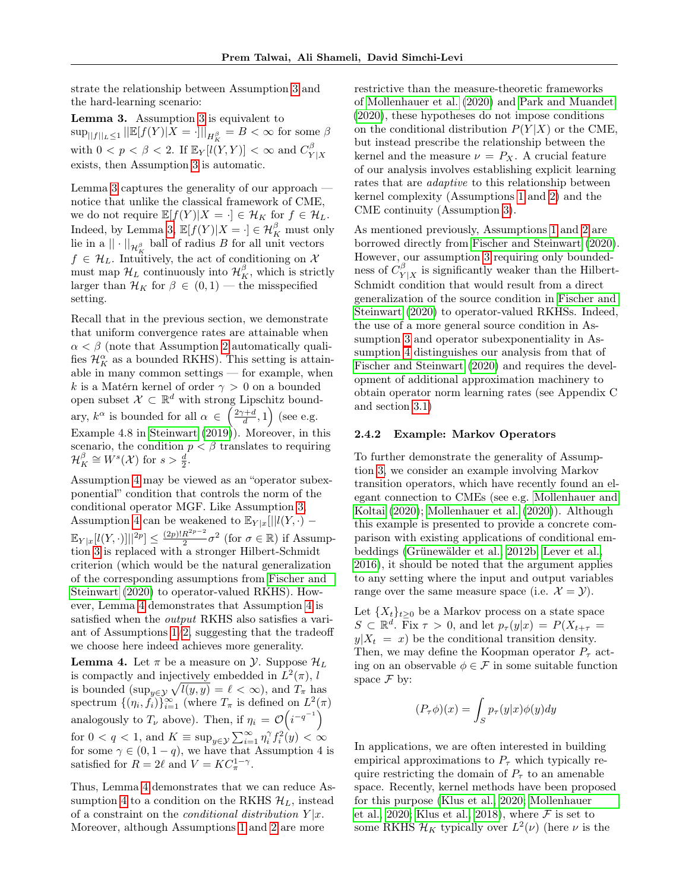strate the relationship between Assumption [3](#page-4-2) and the hard-learning scenario:

<span id="page-5-0"></span>Lemma 3. Assumption [3](#page-4-2) is equivalent to  $\sup_{\|f\|_L\leq 1} \|\mathbb{E}[f(Y)|X=\cdot]\|_{H_K^\beta}=B<\infty$  for some  $\beta$ with  $0 < p < \beta < 2$ . If  $\mathbb{E}_Y[l(Y, Y)] < \infty$  and  $C_Y^{\beta}$  $Y|X$ exists, then Assumption [3](#page-4-2) is automatic.

Lemma [3](#page-5-0) captures the generality of our approach notice that unlike the classical framework of CME, we do not require  $\mathbb{E}[f(Y)|X = \cdot] \in \mathcal{H}_K$  for  $f \in \mathcal{H}_L$ . Indeed, by Lemma [3,](#page-5-0)  $\mathbb{E}[f(Y)|X = \cdot] \in \mathcal{H}_K^{\beta}$  must only lie in a $||\cdot||_{\mathcal{H}^{\beta}_{K}}$  ball of radius  $B$  for all unit vectors  $f \in \mathcal{H}_L$ . Intuitively, the act of conditioning on X must map  $\mathcal{H}_L$  continuously into  $\mathcal{H}_K^{\beta}$ , which is strictly larger than  $\mathcal{H}_K$  for  $\beta \in (0,1)$  — the misspecified setting.

Recall that in the previous section, we demonstrate that uniform convergence rates are attainable when  $\alpha < \beta$  (note that Assumption [2](#page-4-1) automatically qualifies  $\mathcal{H}_K^{\alpha}$  as a bounded RKHS). This setting is attainable in many common settings — for example, when k is a Matérn kernel of order  $\gamma > 0$  on a bounded open subset  $\mathcal{X} \subset \mathbb{R}^d$  with strong Lipschitz boundary,  $k^{\alpha}$  is bounded for all  $\alpha \in \left(\frac{2\gamma+d}{d},1\right)$  (see e.g. Example 4.8 in [Steinwart](#page-8-14) [\(2019\)](#page-8-14)). Moreover, in this scenario, the condition  $p < \beta$  translates to requiring  $\mathcal{H}_K^{\beta} \cong W^s(\mathcal{X})$  for  $s > \frac{d}{2}$ .

Assumption [4](#page-4-3) may be viewed as an "operator subexponential" condition that controls the norm of the conditional operator MGF. Like Assumption [3,](#page-4-2) Assumption [4](#page-4-3) can be weakened to  $\mathbb{E}_{Y|x}[\|l(Y,\cdot)-\|]$  $\mathbb{E}_{Y|x}[l(Y,\cdot)]||^{2p} \leq \frac{(2p)!R^{2p-2}}{2}$  $\frac{R^{2p-2}}{2}\sigma^2$  (for  $\sigma \in \mathbb{R}$ ) if Assumption [3](#page-4-2) is replaced with a stronger Hilbert-Schmidt criterion (which would be the natural generalization of the corresponding assumptions from [Fischer and](#page-8-11) [Steinwart](#page-8-11) [\(2020\)](#page-8-11) to operator-valued RKHS). However, Lemma [4](#page-5-1) demonstrates that Assumption [4](#page-4-3) is satisfied when the output RKHS also satisfies a variant of Assumptions  $1/2$ , suggesting that the tradeoff we choose here indeed achieves more generality.

<span id="page-5-1"></span>**Lemma 4.** Let  $\pi$  be a measure on  $\mathcal{Y}$ . Suppose  $\mathcal{H}_L$ is compactly and injectively embedded in  $L^2(\pi)$ , l is bounded  $(\sup_{y \in \mathcal{Y}} \sqrt{l(y, y)} = \ell < \infty)$ , and  $T_{\pi}$  has spectrum  $\{(\eta_i, \tilde{f}_i)\}_{i=1}^{\infty}$  (where  $T_{\pi}$  is defined on  $L^2(\pi)$ analogously to  $T_{\nu}$  above). Then, if  $\eta_i = \mathcal{O}(i^{-q^{-1}})$ for  $0 < q < 1$ , and  $K \equiv \sup_{y \in \mathcal{Y}} \sum_{i=1}^{\infty} \eta_i^{\gamma} f_i^2(y) < \infty$ for some  $\gamma \in (0, 1 - q)$ , we have that Assumption 4 is satisfied for  $R = 2\ell$  and  $V = KC_{\pi}^{1-\gamma}$ .

Thus, Lemma [4](#page-5-1) demonstrates that we can reduce As-sumption [4](#page-4-3) to a condition on the RKHS  $\mathcal{H}_L$ , instead of a constraint on the *conditional distribution*  $Y|x$ . Moreover, although Assumptions [1](#page-4-0) and [2](#page-4-1) are more

restrictive than the measure-theoretic frameworks of [Mollenhauer et al.](#page-8-9) [\(2020\)](#page-8-9) and [Park and Muandet](#page-8-8) [\(2020\)](#page-8-8), these hypotheses do not impose conditions on the conditional distribution  $P(Y|X)$  or the CME, but instead prescribe the relationship between the kernel and the measure  $\nu = P_X$ . A crucial feature of our analysis involves establishing explicit learning rates that are adaptive to this relationship between kernel complexity (Assumptions [1](#page-4-0) and [2\)](#page-4-1) and the CME continuity (Assumption [3\)](#page-4-2).

As mentioned previously, Assumptions [1](#page-4-0) and [2](#page-4-1) are borrowed directly from [Fischer and Steinwart](#page-8-11) [\(2020\)](#page-8-11). However, our assumption [3](#page-4-2) requiring only boundedness of  $C_{\mathbf{v}}^{\beta}$  $Y|X|X$  is significantly weaker than the Hilbert-Schmidt condition that would result from a direct generalization of the source condition in [Fischer and](#page-8-11) [Steinwart](#page-8-11) [\(2020\)](#page-8-11) to operator-valued RKHSs. Indeed, the use of a more general source condition in Assumption [3](#page-4-2) and operator subexponentiality in Assumption [4](#page-4-3) distinguishes our analysis from that of [Fischer and Steinwart](#page-8-11) [\(2020\)](#page-8-11) and requires the development of additional approximation machinery to obtain operator norm learning rates (see Appendix C and section [3.1\)](#page-6-1)

#### 2.4.2 Example: Markov Operators

To further demonstrate the generality of Assumption [3,](#page-4-2) we consider an example involving Markov transition operators, which have recently found an elegant connection to CMEs (see e.g. [Mollenhauer and](#page-8-15) [Koltai](#page-8-15) [\(2020\)](#page-8-15); [Mollenhauer et al.](#page-8-9) [\(2020\)](#page-8-9)). Although this example is presented to provide a concrete comparison with existing applications of conditional embeddings [\(Grünewälder et al., 2012b;](#page-8-2) [Lever et al.,](#page-8-16) [2016\)](#page-8-16), it should be noted that the argument applies to any setting where the input and output variables range over the same measure space (i.e.  $\mathcal{X} = \mathcal{Y}$ ).

Let  $\{X_t\}_{t\geq 0}$  be a Markov process on a state space  $S \subset \mathbb{R}^d$ . Fix  $\tau > 0$ , and let  $p_{\tau}(y|x) = P(X_{t+\tau})$  $y|X_t = x$  be the conditional transition density. Then, we may define the Koopman operator  $P_{\tau}$  acting on an observable  $\phi \in \mathcal{F}$  in some suitable function space  $\mathcal F$  by:

$$
(P_{\tau}\phi)(x) = \int_{S} p_{\tau}(y|x)\phi(y)dy
$$

In applications, we are often interested in building empirical approximations to  $P_{\tau}$  which typically require restricting the domain of  $P_\tau$  to an amenable space. Recently, kernel methods have been proposed for this purpose [\(Klus et al., 2020;](#page-8-17) [Mollenhauer](#page-8-9) [et al., 2020;](#page-8-9) [Klus et al., 2018\)](#page-8-10), where  $\mathcal F$  is set to some RKHS  $\mathcal{H}_K$  typically over  $L^2(\nu)$  (here  $\nu$  is the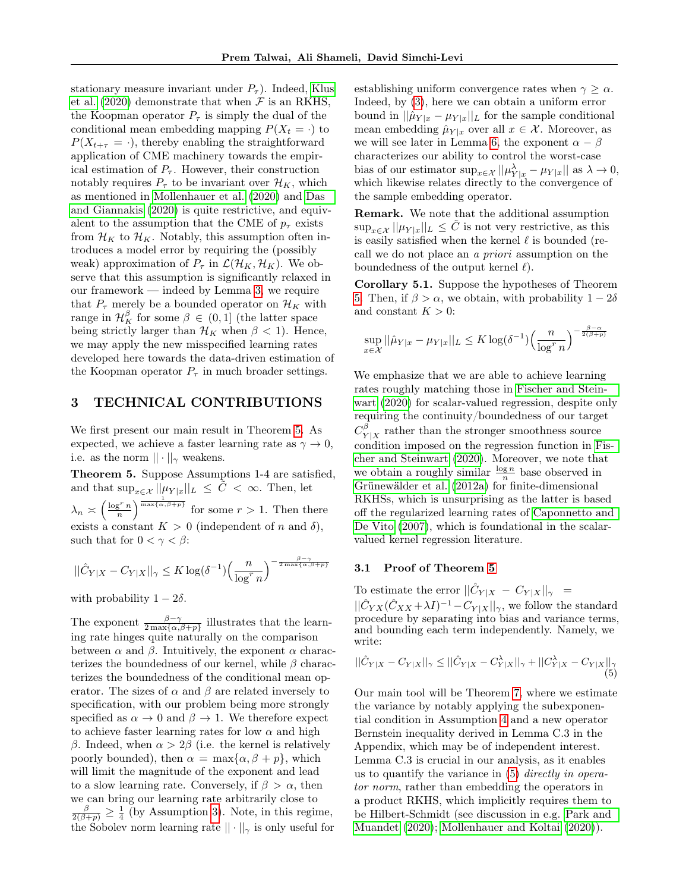stationary measure invariant under  $P_{\tau}$ ). Indeed, [Klus](#page-8-17) [et al.](#page-8-17) [\(2020\)](#page-8-17) demonstrate that when  $\mathcal F$  is an RKHS, the Koopman operator  $P_{\tau}$  is simply the dual of the conditional mean embedding mapping  $P(X_t = \cdot)$  to  $P(X_{t+\tau} = \cdot)$ , thereby enabling the straightforward application of CME machinery towards the empirical estimation of  $P_{\tau}$ . However, their construction notably requires  $P_{\tau}$  to be invariant over  $\mathcal{H}_K$ , which as mentioned in [Mollenhauer et al.](#page-8-9) [\(2020\)](#page-8-9) and [Das](#page-8-18) [and Giannakis](#page-8-18) [\(2020\)](#page-8-18) is quite restrictive, and equivalent to the assumption that the CME of  $p_{\tau}$  exists from  $\mathcal{H}_K$  to  $\mathcal{H}_K$ . Notably, this assumption often introduces a model error by requiring the (possibly weak) approximation of  $P_\tau$  in  $\mathcal{L}(\mathcal{H}_K, \mathcal{H}_K)$ . We observe that this assumption is significantly relaxed in our framework — indeed by Lemma [3,](#page-5-0) we require that  $P_{\tau}$  merely be a bounded operator on  $\mathcal{H}_K$  with range in  $\mathcal{H}_K^{\beta}$  for some  $\beta \in (0,1]$  (the latter space being strictly larger than  $\mathcal{H}_K$  when  $\beta$  < 1). Hence, we may apply the new misspecified learning rates developed here towards the data-driven estimation of the Koopman operator  $P_{\tau}$  in much broader settings.

# <span id="page-6-0"></span>3 TECHNICAL CONTRIBUTIONS

We first present our main result in Theorem [5.](#page-6-2) As expected, we achieve a faster learning rate as  $\gamma \to 0$ , i.e. as the norm  $|| \cdot ||_{\gamma}$  weakens.

<span id="page-6-2"></span>Theorem 5. Suppose Assumptions 1-4 are satisfied, and that  $\sup_{x \in \mathcal{X}} ||\mu_{Y|x}||_L \leq \tilde{C} < \infty$ . Then, let  $\lambda_n \asymp \left(\frac{\log^r n}{n}\right)^{\frac{1}{\max\{\alpha,\beta+p\}}}$  for some  $r > 1$ . Then there exists a constant  $K > 0$  (independent of n and  $\delta$ ), such that for  $0 < \gamma < \beta$ :

$$
||\hat{C}_{Y|X} - C_{Y|X}||_{\gamma} \le K \log(\delta^{-1}) \left(\frac{n}{\log^r n}\right)^{-\frac{\beta - \gamma}{2 \max\{\alpha, \beta + p\}}}
$$

with probability  $1 - 2\delta$ .

The exponent  $\frac{\beta-\gamma}{2 \max\{\alpha,\beta+p\}}$  illustrates that the learning rate hinges quite naturally on the comparison between  $\alpha$  and  $\beta$ . Intuitively, the exponent  $\alpha$  characterizes the boundedness of our kernel, while  $\beta$  characterizes the boundedness of the conditional mean operator. The sizes of  $\alpha$  and  $\beta$  are related inversely to specification, with our problem being more strongly specified as  $\alpha \to 0$  and  $\beta \to 1$ . We therefore expect to achieve faster learning rates for low  $\alpha$  and high β. Indeed, when  $\alpha > 2\beta$  (i.e. the kernel is relatively poorly bounded), then  $\alpha = \max{\{\alpha, \beta + p\}}$ , which will limit the magnitude of the exponent and lead to a slow learning rate. Conversely, if  $\beta > \alpha$ , then we can bring our learning rate arbitrarily close to  $\frac{\beta}{2(\beta+p)} \geq \frac{1}{4}$  (by Assumption [3\)](#page-4-2). Note, in this regime, the Sobolev norm learning rate  $|| \cdot ||_{\gamma}$  is only useful for establishing uniform convergence rates when  $\gamma \geq \alpha$ . Indeed, by [\(3\)](#page-4-4), here we can obtain a uniform error bound in  $||\hat{\mu}_{Y|x} - \mu_{Y|x}||_L$  for the sample conditional mean embedding  $\hat{\mu}_{Y|x}$  over all  $x \in \mathcal{X}$ . Moreover, as we will see later in Lemma [6,](#page-7-0) the exponent  $\alpha - \beta$ characterizes our ability to control the worst-case bias of our estimator  $\sup_{x \in \mathcal{X}} ||\mu_{Y|x}^{\lambda} - \mu_{Y|x}||$  as  $\lambda \to 0$ , which likewise relates directly to the convergence of the sample embedding operator.

Remark. We note that the additional assumption  $\sup_{x \in \mathcal{X}} ||\mu_{Y|x}||_L \leq \tilde{C}$  is not very restrictive, as this is easily satisfied when the kernel  $\ell$  is bounded (recall we do not place an a priori assumption on the boundedness of the output kernel  $\ell$ ).

Corollary 5.1. Suppose the hypotheses of Theorem [5.](#page-6-2) Then, if  $\beta > \alpha$ , we obtain, with probability  $1 - 2\delta$ and constant  $K > 0$ :

$$
\sup_{x \in \mathcal{X}} ||\hat{\mu}_{Y|x} - \mu_{Y|x}||_L \le K \log(\delta^{-1}) \left(\frac{n}{\log^r n}\right)^{-\frac{\beta - \alpha}{2(\beta + r)}}
$$

We emphasize that we are able to achieve learning rates roughly matching those in [Fischer and Stein](#page-8-11)[wart](#page-8-11) [\(2020\)](#page-8-11) for scalar-valued regression, despite only requiring the continuity/boundedness of our target  $C_{V}^{\beta}$  $Y|X|X$  rather than the stronger smoothness source condition imposed on the regression function in [Fis](#page-8-11)[cher and Steinwart](#page-8-11) [\(2020\)](#page-8-11). Moreover, we note that we obtain a roughly similar  $\frac{\log n}{n}$  base observed in [Grünewälder et al.](#page-8-5) [\(2012a\)](#page-8-5) for finite-dimensional RKHSs, which is unsurprising as the latter is based off the regularized learning rates of [Caponnetto and](#page-8-6) [De Vito](#page-8-6) [\(2007\)](#page-8-6), which is foundational in the scalarvalued kernel regression literature.

#### <span id="page-6-1"></span>3.1 Proof of Theorem [5](#page-6-2)

To estimate the error  $||\hat{C}_{Y|X} - C_{Y|X}||_{\gamma} =$  $||\hat{C}_{YX}(\hat{C}_{XX} + \lambda I)^{-1} - C_{Y|X}||_{\gamma}$ , we follow the standard procedure by separating into bias and variance terms, and bounding each term independently. Namely, we write:

<span id="page-6-3"></span>
$$
||\hat{C}_{Y|X} - C_{Y|X}||_{\gamma} \le ||\hat{C}_{Y|X} - C_{Y|X}^{\lambda}||_{\gamma} + ||C_{Y|X}^{\lambda} - C_{Y|X}||_{\gamma}
$$
\n(5)

Our main tool will be Theorem [7,](#page-7-1) where we estimate the variance by notably applying the subexponential condition in Assumption [4](#page-4-3) and a new operator Bernstein inequality derived in Lemma C.3 in the Appendix, which may be of independent interest. Lemma C.3 is crucial in our analysis, as it enables us to quantify the variance in  $(5)$  directly in operator norm, rather than embedding the operators in a product RKHS, which implicitly requires them to be Hilbert-Schmidt (see discussion in e.g. [Park and](#page-8-8) [Muandet](#page-8-8) [\(2020\)](#page-8-8); [Mollenhauer and Koltai](#page-8-15) [\(2020\)](#page-8-15)).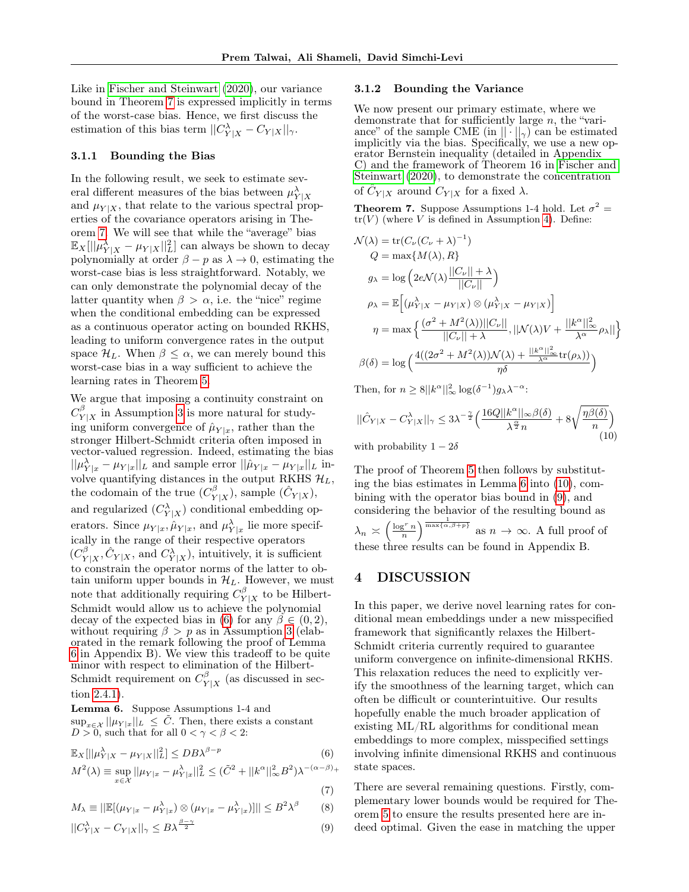Like in [Fischer and Steinwart](#page-8-11) [\(2020\)](#page-8-11), our variance bound in Theorem [7](#page-7-1) is expressed implicitly in terms of the worst-case bias. Hence, we first discuss the estimation of this bias term  $||C_{Y|X}^{\lambda} - C_{Y|X}||_{\gamma}$ .

#### 3.1.1 Bounding the Bias

In the following result, we seek to estimate several different measures of the bias between  $\mu_{Y|X}^{\lambda}$ and  $\mu_{Y|X}$ , that relate to the various spectral properties of the covariance operators arising in Theorem [7.](#page-7-1) We will see that while the "average" bias  $\mathbb{E}_X[||\mu_{Y|X}^{\lambda} - \mu_{Y|X}||_L^2]$  can always be shown to decay polynomially at order  $\beta - p$  as  $\lambda \to 0$ , estimating the worst-case bias is less straightforward. Notably, we can only demonstrate the polynomial decay of the latter quantity when  $\beta > \alpha$ , i.e. the "nice" regime when the conditional embedding can be expressed as a continuous operator acting on bounded RKHS, leading to uniform convergence rates in the output space  $\mathcal{H}_L$ . When  $\beta \leq \alpha$ , we can merely bound this worst-case bias in a way sufficient to achieve the learning rates in Theorem [5.](#page-6-2)

We argue that imposing a continuity constraint on  $C_{V}^{\beta}$  $Y|X \text{ in Assumption 3 is more natural for study-}$  $Y|X \text{ in Assumption 3 is more natural for study-}$  $Y|X \text{ in Assumption 3 is more natural for study-}$ ing uniform convergence of  $\hat{\mu}_{Y|x}$ , rather than the stronger Hilbert-Schmidt criteria often imposed in vector-valued regression. Indeed, estimating the bias  $||\mu_{Y|x}^{\lambda} - \mu_{Y|x}||_{L}$  and sample error  $||\hat{\mu}_{Y|x} - \mu_{Y|x}||_{L}$  involve quantifying distances in the output RKHS  $\mathcal{H}_L$ , the codomain of the true  $(C_V^{\beta})$  $\hat{Y}_{Y|X}^{\beta}$ ), sample  $(\hat{C}_{Y|X})$ , and regularized  $(C_{Y|X}^{\lambda})$  conditional embedding operators. Since  $\mu_{Y|x}, \hat{\mu}_{Y|x}$ , and  $\mu_{Y|x}^{\lambda}$  lie more specifically in the range of their respective operators  $(C_{\rm V}^{\beta}$  $\hat{C}_{Y|X}$ ,  $\hat{C}_{Y|X}$ , and  $C_{Y|X}^{\lambda}$ ), intuitively, it is sufficient to constrain the operator norms of the latter to obtain uniform upper bounds in  $\mathcal{H}_L$ . However, we must note that additionally requiring  $C_V^{\beta}$  $Y|X$  to be Hilbert-Schmidt would allow us to achieve the polynomial decay of the expected bias in [\(6\)](#page-7-2) for any  $\beta \in (0, 2)$ , without requiring  $\beta > p$  as in Assumption [3](#page-4-2) (elaborated in the remark following the proof of Lemma [6](#page-7-0) in Appendix B). We view this tradeoff to be quite minor with respect to elimination of the Hilbert-Schmidt requirement on  $C_V^{\beta}$  $Y|X$  (as discussed in section [2.4.1\)](#page-4-5).

<span id="page-7-0"></span>Lemma 6. Suppose Assumptions 1-4 and  $\sup_{x \in \mathcal{X}} ||\mu_{Y|x}||_{L} \leq \tilde{C}$ . Then, there exists a constant  $D > 0$ , such that for all  $0 < \gamma < \beta < 2$ .

$$
\mathbb{E}_{X}[||\mu_{Y|X}^{\lambda} - \mu_{Y|X}||_{L}^{2}] \le DB\lambda^{\beta - p}
$$
(6)  

$$
M^{2}(\lambda) \equiv \sup_{x \in \mathcal{X}} ||\mu_{Y|x} - \mu_{Y|x}^{\lambda}||_{L}^{2} \le (\tilde{C}^{2} + ||k^{\alpha}||_{\infty}^{2} B^{2})\lambda^{-(\alpha - \beta)} +
$$
(7)

$$
M_{\lambda} \equiv ||\mathbb{E}[(\mu_{Y|x} - \mu_{Y|x}^{\lambda}) \otimes (\mu_{Y|x} - \mu_{Y|x}^{\lambda})]|| \leq B^{2} \lambda^{\beta}
$$
 (8)

$$
||C_{Y|X}^{\lambda} - C_{Y|X}||_{\gamma} \le B\lambda^{\frac{\beta - \gamma}{2}}
$$
\n(9)

#### 3.1.2 Bounding the Variance

We now present our primary estimate, where we demonstrate that for sufficiently large n, the "variance" of the sample CME (in  $|| \cdot ||_{\gamma}$ ) can be estimated implicitly via the bias. Specifically, we use a new operator Bernstein inequality (detailed in Appendix C) and the framework of Theorem 16 in [Fischer and](#page-8-11) [Steinwart](#page-8-11) [\(2020\)](#page-8-11), to demonstrate the concentration of  $\hat{C}_{Y|X}$  around  $C_{Y|X}$  for a fixed  $\lambda$ .

<span id="page-7-1"></span>**Theorem 7.** Suppose Assumptions 1-4 hold. Let  $\sigma^2 =$  $tr(V)$  (where V is defined in Assumption [4\)](#page-4-3). Define:

$$
\mathcal{N}(\lambda) = \text{tr}(C_{\nu}(C_{\nu} + \lambda)^{-1})
$$
  
\n
$$
Q = \max\{M(\lambda), R\}
$$
  
\n
$$
g_{\lambda} = \log\left(2e\mathcal{N}(\lambda)\frac{||C_{\nu}|| + \lambda}{||C_{\nu}||}\right)
$$
  
\n
$$
\rho_{\lambda} = \mathbb{E}\left[(\mu_{Y|X}^{\lambda} - \mu_{Y|X}) \otimes (\mu_{Y|X}^{\lambda} - \mu_{Y|X})\right]
$$
  
\n
$$
\eta = \max\left\{\frac{(\sigma^2 + M^2(\lambda))||C_{\nu}||}{||C_{\nu}|| + \lambda}, ||\mathcal{N}(\lambda)V + \frac{||k^{\alpha}||_{\infty}^2}{\lambda^{\alpha}}\rho_{\lambda}||\right\}
$$
  
\n
$$
\beta(\delta) = \log\left(\frac{4((2\sigma^2 + M^2(\lambda))\mathcal{N}(\lambda) + \frac{||k^{\alpha}||_{\infty}^2}{\lambda^{\alpha}}\text{tr}(\rho_{\lambda}))}{\eta\delta}\right)
$$

Then, for  $n \geq 8||k^{\alpha}||_{\infty}^{2} \log(\delta^{-1})g_{\lambda} \lambda^{-\alpha}$ :

<span id="page-7-3"></span>
$$
||\hat{C}_{Y|X} - C_{Y|X}^{\lambda}||_{\gamma} \le 3\lambda^{-\frac{\gamma}{2}} \left( \frac{16Q||k^{\alpha}||_{\infty}\beta(\delta)}{\lambda^{\frac{\alpha}{2}}n} + 8\sqrt{\frac{\eta\beta(\delta)}{n}} \right)
$$
\n(10)

with probability  $1 - 2\delta$ 

The proof of Theorem [5](#page-6-2) then follows by substituting the bias estimates in Lemma [6](#page-7-0) into [\(10\)](#page-7-3), combining with the operator bias bound in [\(9\)](#page-7-4), and considering the behavior of the resulting bound as  $\lambda_n \asymp \left(\frac{\log^r n}{n}\right)^{\frac{1}{\max\{\alpha,\beta+p\}}}$  as  $n \to \infty$ . A full proof of these three results can be found in Appendix B.

# 4 DISCUSSION

In this paper, we derive novel learning rates for conditional mean embeddings under a new misspecified framework that significantly relaxes the Hilbert-Schmidt criteria currently required to guarantee uniform convergence on infinite-dimensional RKHS. This relaxation reduces the need to explicitly verify the smoothness of the learning target, which can often be difficult or counterintuitive. Our results hopefully enable the much broader application of existing ML/RL algorithms for conditional mean embeddings to more complex, misspecified settings involving infinite dimensional RKHS and continuous state spaces.

<span id="page-7-6"></span><span id="page-7-5"></span><span id="page-7-4"></span><span id="page-7-2"></span>There are several remaining questions. Firstly, complementary lower bounds would be required for Theorem [5](#page-6-2) to ensure the results presented here are indeed optimal. Given the ease in matching the upper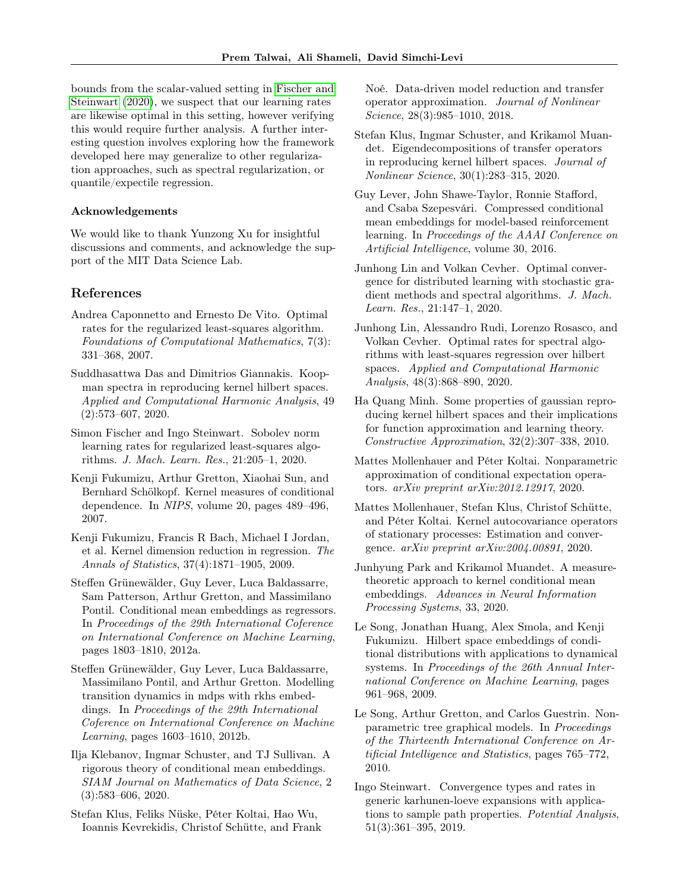bounds from the scalar-valued setting in [Fischer and](#page-8-11) [Steinwart](#page-8-11) [\(2020\)](#page-8-11), we suspect that our learning rates are likewise optimal in this setting, however verifying this would require further analysis. A further interesting question involves exploring how the framework developed here may generalize to other regularization approaches, such as spectral regularization, or quantile/expectile regression.

## Acknowledgements

We would like to thank Yunzong Xu for insightful discussions and comments, and acknowledge the support of the MIT Data Science Lab.

## References

- <span id="page-8-6"></span>Andrea Caponnetto and Ernesto De Vito. Optimal rates for the regularized least-squares algorithm. Foundations of Computational Mathematics, 7(3): 331–368, 2007.
- <span id="page-8-18"></span>Suddhasattwa Das and Dimitrios Giannakis. Koopman spectra in reproducing kernel hilbert spaces. Applied and Computational Harmonic Analysis, 49 (2):573–607, 2020.
- <span id="page-8-11"></span>Simon Fischer and Ingo Steinwart. Sobolev norm learning rates for regularized least-squares algorithms. J. Mach. Learn. Res., 21:205–1, 2020.
- <span id="page-8-0"></span>Kenji Fukumizu, Arthur Gretton, Xiaohai Sun, and Bernhard Schölkopf. Kernel measures of conditional dependence. In NIPS, volume 20, pages 489–496, 2007.
- <span id="page-8-1"></span>Kenji Fukumizu, Francis R Bach, Michael I Jordan, et al. Kernel dimension reduction in regression. The Annals of Statistics, 37(4):1871–1905, 2009.
- <span id="page-8-5"></span>Steffen Grünewälder, Guy Lever, Luca Baldassarre, Sam Patterson, Arthur Gretton, and Massimilano Pontil. Conditional mean embeddings as regressors. In Proceedings of the 29th International Coference on International Conference on Machine Learning, pages 1803–1810, 2012a.
- <span id="page-8-2"></span>Steffen Grünewälder, Guy Lever, Luca Baldassarre, Massimilano Pontil, and Arthur Gretton. Modelling transition dynamics in mdps with rkhs embeddings. In Proceedings of the 29th International Coference on International Conference on Machine Learning, pages 1603–1610, 2012b.
- <span id="page-8-7"></span>Ilja Klebanov, Ingmar Schuster, and TJ Sullivan. A rigorous theory of conditional mean embeddings. SIAM Journal on Mathematics of Data Science, 2 (3):583–606, 2020.
- <span id="page-8-10"></span>Stefan Klus, Feliks Nüske, Péter Koltai, Hao Wu, Ioannis Kevrekidis, Christof Schütte, and Frank

Noé. Data-driven model reduction and transfer operator approximation. Journal of Nonlinear Science, 28(3):985–1010, 2018.

- <span id="page-8-17"></span>Stefan Klus, Ingmar Schuster, and Krikamol Muandet. Eigendecompositions of transfer operators in reproducing kernel hilbert spaces. Journal of Nonlinear Science, 30(1):283–315, 2020.
- <span id="page-8-16"></span>Guy Lever, John Shawe-Taylor, Ronnie Stafford, and Csaba Szepesvári. Compressed conditional mean embeddings for model-based reinforcement learning. In Proceedings of the AAAI Conference on Artificial Intelligence, volume 30, 2016.
- <span id="page-8-13"></span>Junhong Lin and Volkan Cevher. Optimal convergence for distributed learning with stochastic gradient methods and spectral algorithms. J. Mach. Learn. Res., 21:147–1, 2020.
- <span id="page-8-12"></span>Junhong Lin, Alessandro Rudi, Lorenzo Rosasco, and Volkan Cevher. Optimal rates for spectral algorithms with least-squares regression over hilbert spaces. Applied and Computational Harmonic Analysis, 48(3):868–890, 2020.
- <span id="page-8-19"></span>Ha Quang Minh. Some properties of gaussian reproducing kernel hilbert spaces and their implications for function approximation and learning theory. Constructive Approximation, 32(2):307–338, 2010.
- <span id="page-8-15"></span>Mattes Mollenhauer and Péter Koltai. Nonparametric approximation of conditional expectation operators. arXiv preprint arXiv:2012.12917, 2020.
- <span id="page-8-9"></span>Mattes Mollenhauer, Stefan Klus, Christof Schütte, and Péter Koltai. Kernel autocovariance operators of stationary processes: Estimation and convergence. arXiv preprint arXiv:2004.00891, 2020.
- <span id="page-8-8"></span>Junhyung Park and Krikamol Muandet. A measuretheoretic approach to kernel conditional mean embeddings. Advances in Neural Information Processing Systems, 33, 2020.
- <span id="page-8-4"></span>Le Song, Jonathan Huang, Alex Smola, and Kenji Fukumizu. Hilbert space embeddings of conditional distributions with applications to dynamical systems. In Proceedings of the 26th Annual International Conference on Machine Learning, pages 961–968, 2009.
- <span id="page-8-3"></span>Le Song, Arthur Gretton, and Carlos Guestrin. Nonparametric tree graphical models. In Proceedings of the Thirteenth International Conference on Artificial Intelligence and Statistics, pages 765–772, 2010.
- <span id="page-8-14"></span>Ingo Steinwart. Convergence types and rates in generic karhunen-loeve expansions with applications to sample path properties. Potential Analysis, 51(3):361–395, 2019.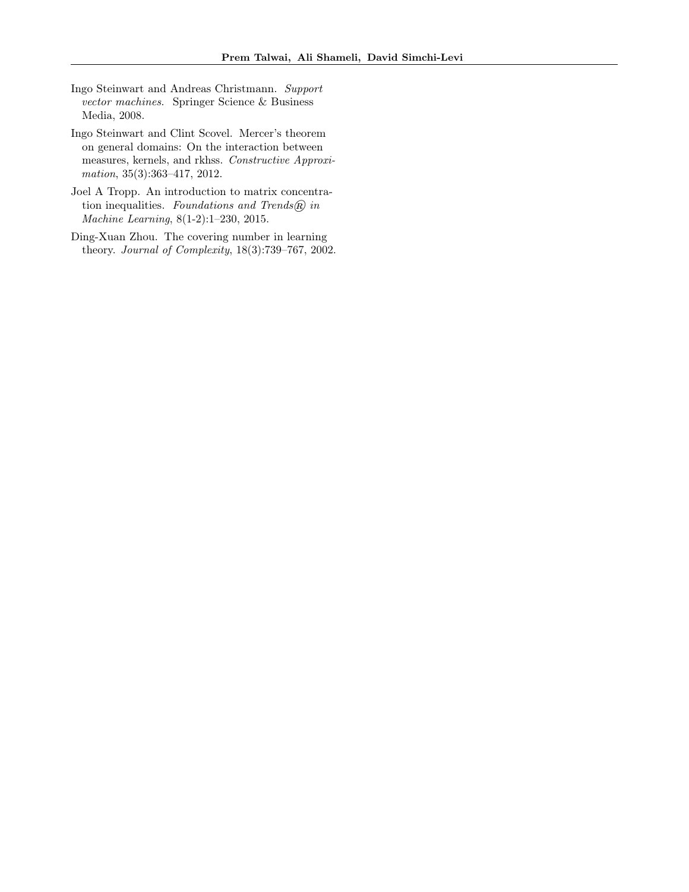- <span id="page-9-1"></span>Ingo Steinwart and Andreas Christmann. Support vector machines. Springer Science & Business Media, 2008.
- <span id="page-9-0"></span>Ingo Steinwart and Clint Scovel. Mercer's theorem on general domains: On the interaction between measures, kernels, and rkhss. Constructive Approximation, 35(3):363–417, 2012.
- <span id="page-9-3"></span>Joel A Tropp. An introduction to matrix concentration inequalities. Foundations and Trends $(\widehat{R})$  in Machine Learning, 8(1-2):1–230, 2015.
- <span id="page-9-2"></span>Ding-Xuan Zhou. The covering number in learning theory. Journal of Complexity, 18(3):739–767, 2002.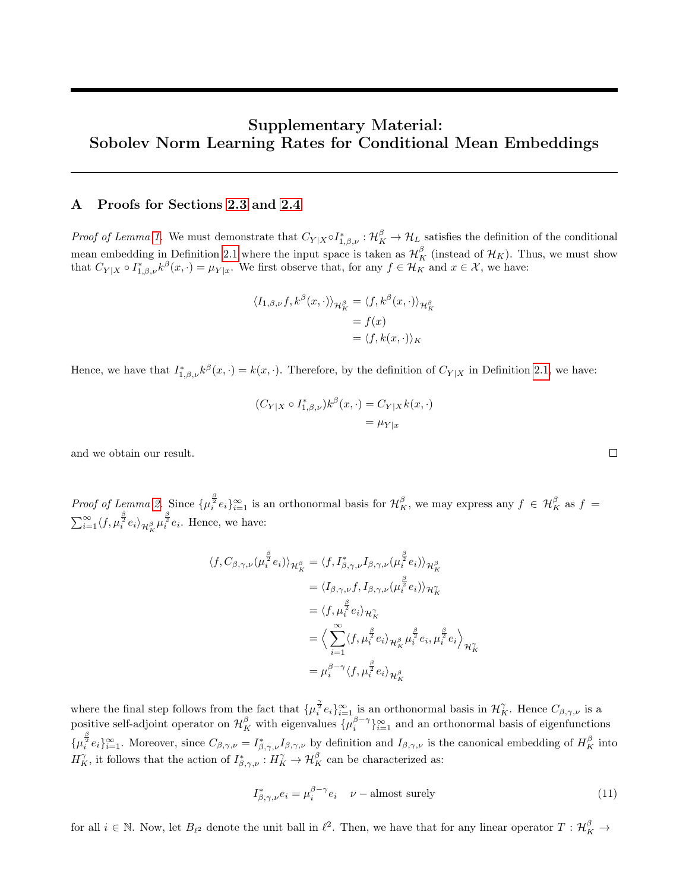# Supplementary Material: Sobolev Norm Learning Rates for Conditional Mean Embeddings

# <span id="page-10-1"></span>A Proofs for Sections [2.3](#page-3-3) and [2.4](#page-4-6)

*Proof of Lemma [1.](#page-3-1)* We must demonstrate that  $C_{Y|X} \circ I_{1,\beta,\nu}^* : \mathcal{H}_K^{\beta} \to \mathcal{H}_L$  satisfies the definition of the conditional mean embedding in Definition [2.1](#page-1-0) where the input space is taken as  $\mathcal{H}^{\beta}_K$  (instead of  $\mathcal{H}_K$ ). Thus, we must show that  $C_{Y|X} \circ I^*_{1,\beta,\nu} k^{\beta}(x,\cdot) = \mu_{Y|x}$ . We first observe that, for any  $f \in \mathcal{H}_K$  and  $x \in \mathcal{X}$ , we have:

$$
\langle I_{1,\beta,\nu}f, k^{\beta}(x,\cdot)\rangle_{\mathcal{H}^{\beta}_{K}} = \langle f, k^{\beta}(x,\cdot)\rangle_{\mathcal{H}^{\beta}_{K}}
$$

$$
= f(x)
$$

$$
= \langle f, k(x,\cdot)\rangle_{K}
$$

Hence, we have that  $I_{1,\beta,\nu}^* k^{\beta}(x,\cdot) = k(x,\cdot)$ . Therefore, by the definition of  $C_{Y|X}$  in Definition [2.1,](#page-1-0) we have:

$$
(C_{Y|X} \circ I_{1,\beta,\nu}^*)k^{\beta}(x,\cdot) = C_{Y|X}k(x,\cdot)
$$
  
=  $\mu_{Y|x}$ 

and we obtain our result.

Proof of Lemma [2.](#page-3-4) Since  $\{\mu_i^{\frac{\beta}{2}}e_i\}_{i=1}^{\infty}$  is an orthonormal basis for  $\mathcal{H}_K^{\beta}$ , we may express any  $f \in \mathcal{H}_K^{\beta}$  as  $f =$  $\sum_{i=1}^{\infty} \langle f, \mu_i^{\frac{\beta}{2}} e_i \rangle_{\mathcal{H}_K^{\beta}} \mu_i^{\frac{\beta}{2}} e_i$ . Hence, we have:

$$
\langle f, C_{\beta,\gamma,\nu}(\mu_i^{\frac{\beta}{2}} e_i) \rangle_{\mathcal{H}_K^{\beta}} = \langle f, I_{\beta,\gamma,\nu}^* I_{\beta,\gamma,\nu}(\mu_i^{\frac{\beta}{2}} e_i) \rangle_{\mathcal{H}_K^{\beta}}
$$
  
\n
$$
= \langle I_{\beta,\gamma,\nu} f, I_{\beta,\gamma,\nu}(\mu_i^{\frac{\beta}{2}} e_i) \rangle_{\mathcal{H}_K^{\gamma}}
$$
  
\n
$$
= \langle f, \mu_i^{\frac{\beta}{2}} e_i \rangle_{\mathcal{H}_K^{\gamma}}
$$
  
\n
$$
= \langle \sum_{i=1}^{\infty} \langle f, \mu_i^{\frac{\beta}{2}} e_i \rangle_{\mathcal{H}_K^{\beta}} \mu_i^{\frac{\beta}{2}} e_i, \mu_i^{\frac{\beta}{2}} e_i \rangle_{\mathcal{H}_K^{\gamma}}
$$
  
\n
$$
= \mu_i^{\beta-\gamma} \langle f, \mu_i^{\frac{\beta}{2}} e_i \rangle_{\mathcal{H}_K^{\beta}}
$$

where the final step follows from the fact that  $\{\mu_i^{\frac{\gamma}{2}}e_i\}_{i=1}^{\infty}$  is an orthonormal basis in  $\mathcal{H}_K^{\gamma}$ . Hence  $C_{\beta,\gamma,\nu}$  is a positive self-adjoint operator on  $\mathcal{H}_K^{\beta}$  with eigenvalues  $\{\mu_i^{\beta-\gamma}\}_{i=1}^{\infty}$  and an orthonormal basis of eigenfunctions  $\{\mu_i^{\frac{\beta}{2}}e_i\}_{i=1}^{\infty}$ . Moreover, since  $C_{\beta,\gamma,\nu}=I_{\beta,\gamma,\nu}^*I_{\beta,\gamma,\nu}$  by definition and  $I_{\beta,\gamma,\nu}$  is the canonical embedding of  $H_K^{\beta}$  into  $H_K^{\gamma}$ , it follows that the action of  $I_{\beta,\gamma,\nu}^* : H_K^{\gamma} \to \mathcal{H}_K^{\beta}$  can be characterized as:

<span id="page-10-0"></span>
$$
I_{\beta,\gamma,\nu}^* e_i = \mu_i^{\beta - \gamma} e_i \quad \nu - \text{almost surely}
$$
 (11)

 $\Box$ 

for all  $i \in \mathbb{N}$ . Now, let  $B_{\ell^2}$  denote the unit ball in  $\ell^2$ . Then, we have that for any linear operator  $T: \mathcal{H}_K^{\beta} \to$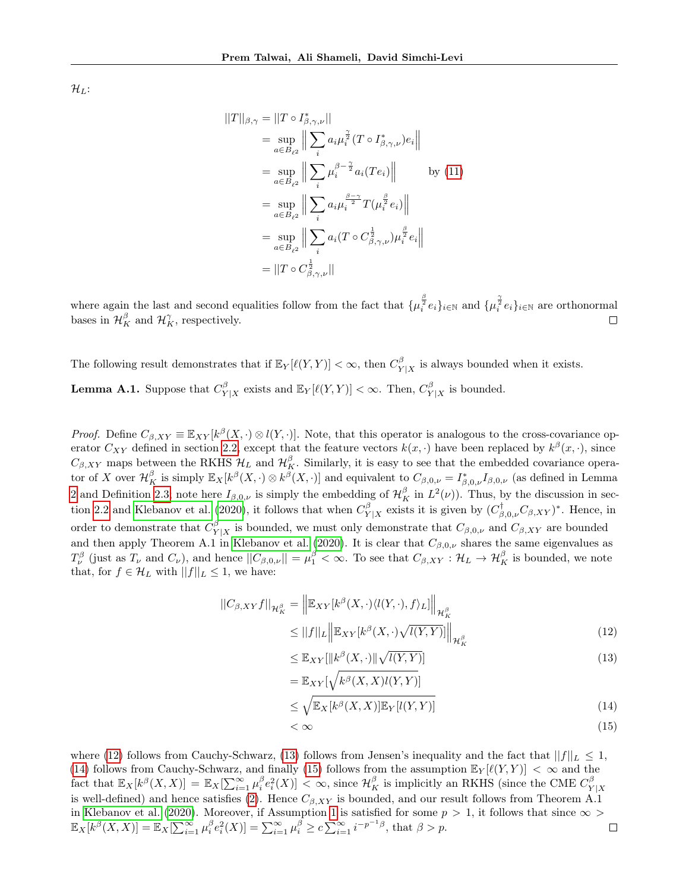$\mathcal{H}_L$ :

$$
||T||_{\beta,\gamma} = ||T \circ I_{\beta,\gamma,\nu}^*||
$$
  
\n
$$
= \sup_{a \in B_{\ell^2}} \left\| \sum_i a_i \mu_i^{\frac{\gamma}{2}} (T \circ I_{\beta,\gamma,\nu}^*) e_i \right\|
$$
  
\n
$$
= \sup_{a \in B_{\ell^2}} \left\| \sum_i \mu_i^{\beta - \frac{\gamma}{2}} a_i (Te_i) \right\| \qquad \text{by (11)}
$$
  
\n
$$
= \sup_{a \in B_{\ell^2}} \left\| \sum_i a_i \mu_i^{\frac{\beta - \gamma}{2}} T(\mu_i^{\frac{\beta}{2}} e_i) \right\|
$$
  
\n
$$
= \sup_{a \in B_{\ell^2}} \left\| \sum_i a_i (T \circ C_{\beta,\gamma,\nu}^{\frac{1}{2}}) \mu_i^{\frac{\beta}{2}} e_i \right\|
$$
  
\n
$$
= ||T \circ C_{\beta,\gamma,\nu}^{\frac{1}{2}}||
$$

where again the last and second equalities follow from the fact that  $\{\mu_i^{\frac{\beta}{2}}e_i\}_{i\in\mathbb{N}}$  and  $\{\mu_i^{\frac{\gamma}{2}}e_i\}_{i\in\mathbb{N}}$  are orthonormal bases in  $\mathcal{H}_K^{\beta}$  and  $\mathcal{H}_K^{\gamma}$ , respectively.  $\Box$ 

<span id="page-11-4"></span>The following result demonstrates that if  $\mathbb{E}_Y[\ell(Y,Y)] < \infty$ , then  $C_Y^{\beta}$  $Y|X|$  is always bounded when it exists. **Lemma A.1.** Suppose that  $C_V^{\beta}$  $Y_{Y|X}^{\beta}$  exists and  $\mathbb{E}_Y[\ell(Y,Y)] < \infty$ . Then,  $C_Y^{\beta}$  $Y|X$  is bounded.

*Proof.* Define  $C_{\beta, XY} \equiv \mathbb{E}_{XY}[k^{\beta}(X, \cdot) \otimes l(Y, \cdot)].$  Note, that this operator is analogous to the cross-covariance operator  $C_{XY}$  defined in section [2.2,](#page-2-1) except that the feature vectors  $k(x, \cdot)$  have been replaced by  $k^{\beta}(x, \cdot)$ , since  $C_{\beta,XY}$  maps between the RKHS  $\mathcal{H}_L$  and  $\mathcal{H}_K^{\beta}$ . Similarly, it is easy to see that the embedded covariance operator of X over  $\mathcal{H}_K^{\beta}$  is simply  $\mathbb{E}_X[k^{\beta}(X,\cdot) \otimes k^{\beta}(X,\cdot)]$  and equivalent to  $C_{\beta,0,\nu} = I^*_{\beta,0,\nu}I_{\beta,0,\nu}$  (as defined in Lemma [2](#page-3-4) and Definition [2.3;](#page-3-2) note here  $I_{\beta,0,\nu}$  is simply the embedding of  $\mathcal{H}_K^{\beta}$  in  $L^2(\nu)$ ). Thus, by the discussion in sec-tion [2.2](#page-2-1) and [Klebanov et al.](#page-8-7) [\(2020\)](#page-8-7), it follows that when  $C_V^{\beta}$  $\int_{Y|X}^{\beta}$  exists it is given by  $(C^{\dagger}_{\beta,0,\nu}C_{\beta,XY})^*$ . Hence, in order to demonstrate that  $C_V^{\beta}$  $\mathcal{C}_{Y|X}$  is bounded, we must only demonstrate that  $C_{\beta,0,\nu}$  and  $C_{\beta,XY}$  are bounded and then apply Theorem A.1 in [Klebanov et al.](#page-8-7) [\(2020\)](#page-8-7). It is clear that  $C_{\beta,0,\nu}$  shares the same eigenvalues as  $T^{\beta}_{\nu}$  (just as  $T_{\nu}$  and  $C_{\nu}$ ), and hence  $||C_{\beta,0,\nu}|| = \mu_1^{\beta} < \infty$ . To see that  $C_{\beta,XY} : \mathcal{H}_L \to \mathcal{H}_K^{\beta}$  is bounded, we note that, for  $f \in \mathcal{H}_L$  with  $||f||_L \leq 1$ , we have:

$$
||C_{\beta,XY}f||_{\mathcal{H}_K^{\beta}} = \left\| \mathbb{E}_{XY}[k^{\beta}(X,\cdot)\langle l(Y,\cdot),f\rangle_L] \right\|_{\mathcal{H}_K^{\beta}}
$$
  

$$
\leq ||f||_L \left\| \mathbb{E}_{XY}[k^{\beta}(X,\cdot)\sqrt{l(Y,Y)}] \right\|_{\mathcal{H}_K^{\beta}}
$$
(12)

<span id="page-11-1"></span><span id="page-11-0"></span>
$$
\leq \mathbb{E}_{XY}[\|\kappa^{\beta}(X,\cdot)\|\sqrt{l(Y,Y)}]
$$
  
= 
$$
\mathbb{E}_{XY}[\sqrt{\kappa^{\beta}(X,X)l(Y,Y)}]
$$
 (13)

$$
\leq \sqrt{\mathbb{E}_X[k^{\beta}(X,X)]\mathbb{E}_Y[l(Y,Y)]}
$$
\n(14)

<span id="page-11-3"></span><span id="page-11-2"></span>
$$
\langle \infty \tag{15}
$$

where [\(12\)](#page-11-0) follows from Cauchy-Schwarz, [\(13\)](#page-11-1) follows from Jensen's inequality and the fact that  $||f||_L \leq 1$ , [\(14\)](#page-11-2) follows from Cauchy-Schwarz, and finally [\(15\)](#page-11-3) follows from the assumption  $\mathbb{E}_Y[\ell(Y, Y)] < \infty$  and the  $\text{fact that } \mathbb{E}_X[k^{\beta}(X,X)] = \mathbb{E}_X[\sum_{i=1}^{\infty} \mu_i^{\beta} e_i^2(X)] < \infty, \text{ since } \mathcal{H}_K^{\beta} \text{ is implicitly an RKHS (since the CME } C_Y^{\beta}$  $Y|X$ is well-defined) and hence satisfies [\(2\)](#page-3-0). Hence  $C_{\beta,XY}$  is bounded, and our result follows from Theorem A.1 in [Klebanov et al.](#page-8-7) [\(2020\)](#page-8-7). Moreover, if Assumption [1](#page-4-0) is satisfied for some  $p > 1$ , it follows that since  $\infty$  $\mathbb{E}_X[k^{\beta}(X,X)] = \mathbb{E}_X[\sum_{i=1}^{\infty} \mu_i^{\beta} e_i^2(X)] = \sum_{i=1}^{\infty} \mu_i^{\beta} \ge c \sum_{i=1}^{\infty} i^{-p^{-1}\beta}$ , that  $\beta > p$ .  $\Box$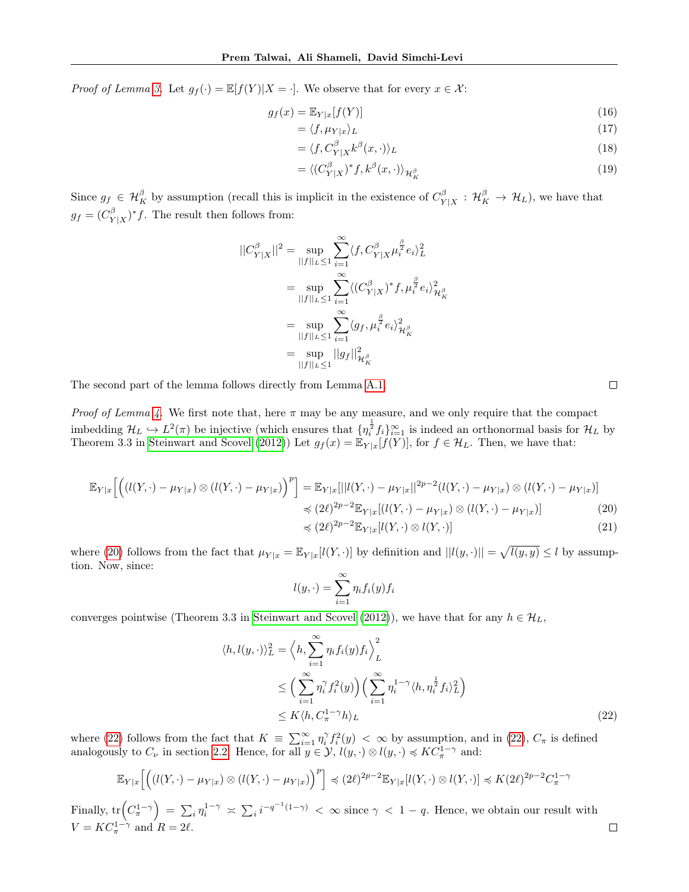*Proof of Lemma [3.](#page-5-0)* Let  $g_f(\cdot) = \mathbb{E}[f(Y)|X = \cdot]$ . We observe that for every  $x \in \mathcal{X}$ :

$$
g_f(x) = \mathbb{E}_{Y|x}[f(Y)]\tag{16}
$$

$$
= \langle f, \mu_{Y|x} \rangle_L \tag{17}
$$

$$
= \langle f, C_{Y|X}^{\beta} k^{\beta}(x, \cdot) \rangle_L \tag{18}
$$

$$
= \langle (C_{Y|X}^{\beta})^* f, k^{\beta}(x, \cdot) \rangle_{\mathcal{H}_K^{\beta}} \tag{19}
$$

Since  $g_f \in \mathcal{H}_K^{\beta}$  by assumption (recall this is implicit in the existence of  $C_Y^{\beta}$  $\frac{\partial^{\beta}}{\partial Y|X}$  :  $\mathcal{H}_K^{\beta} \rightarrow \mathcal{H}_L$ ), we have that  $g_f = (C_Y^{\beta}$  $(Y|X)|^{\beta}$  The result then follows from:

$$
||C_{Y|X}^{\beta}||^{2} = \sup_{||f||_{L} \le 1} \sum_{i=1}^{\infty} \langle f, C_{Y|X}^{\beta} \mu_{i}^{\frac{\beta}{2}} e_{i} \rangle_{L}^{2}
$$
  

$$
= \sup_{||f||_{L} \le 1} \sum_{i=1}^{\infty} \langle (C_{Y|X}^{\beta})^{*} f, \mu_{i}^{\frac{\beta}{2}} e_{i} \rangle_{\mathcal{H}_{K}^{\beta}}^{2}
$$
  

$$
= \sup_{||f||_{L} \le 1} \sum_{i=1}^{\infty} \langle g_{f}, \mu_{i}^{\frac{\beta}{2}} e_{i} \rangle_{\mathcal{H}_{K}^{\beta}}^{2}
$$
  

$$
= \sup_{||f||_{L} \le 1} ||g_{f}||_{\mathcal{H}_{K}^{\beta}}^{2}
$$

The second part of the lemma follows directly from Lemma [A.1.](#page-11-4)

*Proof of Lemma [4.](#page-5-1)* We first note that, here  $\pi$  may be any measure, and we only require that the compact imbedding  $\mathcal{H}_L \hookrightarrow L^2(\pi)$  be injective (which ensures that  $\{\eta_i^{\frac{1}{2}}f_i\}_{i=1}^{\infty}$  is indeed an orthonormal basis for  $\mathcal{H}_L$  by Theorem 3.3 in [Steinwart and Scovel](#page-9-0) [\(2012\)](#page-9-0)) Let  $g_f(x) = \mathbb{E}_{Y|x}[f(Y)]$ , for  $f \in \mathcal{H}_L$ . Then, we have that:

$$
\mathbb{E}_{Y|x}\Big[\Big((l(Y,\cdot)-\mu_{Y|x})\otimes (l(Y,\cdot)-\mu_{Y|x})\Big)^p\Big] = \mathbb{E}_{Y|x}[\||l(Y,\cdot)-\mu_{Y|x}||^{2p-2}(l(Y,\cdot)-\mu_{Y|x})\otimes (l(Y,\cdot)-\mu_{Y|x})] \n\preccurlyeq (2\ell)^{2p-2}\mathbb{E}_{Y|x}[(l(Y,\cdot)-\mu_{Y|x})\otimes (l(Y,\cdot)-\mu_{Y|x})] \n\preccurlyeq (2\ell)^{2p-2}\mathbb{E}_{Y|x}[\ell(Y,\cdot)\otimes l(Y,\cdot)]
$$
\n(20)

where [\(20\)](#page-12-0) follows from the fact that  $\mu_{Y|x} = \mathbb{E}_{Y|x}[l(Y, \cdot)]$  by definition and  $||l(y, \cdot)|| = \sqrt{l(y, y)} \leq l$  by assumption. Now, since:

<span id="page-12-0"></span>
$$
l(y, \cdot) = \sum_{i=1}^{\infty} \eta_i f_i(y) f_i
$$

converges pointwise (Theorem 3.3 in [Steinwart and Scovel](#page-9-0) [\(2012\)](#page-9-0)), we have that for any  $h \in \mathcal{H}_L$ ,

$$
\langle h, l(y, \cdot) \rangle_L^2 = \left\langle h, \sum_{i=1}^{\infty} \eta_i f_i(y) f_i \right\rangle_L^2
$$
  
\n
$$
\leq \left( \sum_{i=1}^{\infty} \eta_i^{\gamma} f_i^2(y) \right) \left( \sum_{i=1}^{\infty} \eta_i^{1-\gamma} \langle h, \eta_i^{\frac{1}{2}} f_i \rangle_L^2 \right)
$$
  
\n
$$
\leq K \langle h, C_{\pi}^{1-\gamma} h \rangle_L
$$
\n(22)

where [\(22\)](#page-12-1) follows from the fact that  $K = \sum_{i=1}^{\infty} \eta_i^{\gamma} f_i^2(y) < \infty$  by assumption, and in (22),  $C_{\pi}$  is defined analogously to  $C_{\nu}$  in section [2.2.](#page-2-1) Hence, for all  $y \in \mathcal{Y}$ ,  $l(y, \cdot) \otimes l(y, \cdot) \preccurlyeq KC_{\pi}^{1-\gamma}$  and:

$$
\mathbb{E}_{Y|x}\Big[\Big(\big(l(Y,\cdot)-\mu_{Y|x}\big)\otimes\big(l(Y,\cdot)-\mu_{Y|x}\big)\Big)^p\Big]\preccurlyeq (2\ell)^{2p-2}\mathbb{E}_{Y|x}[l(Y,\cdot)\otimes l(Y,\cdot)]\preccurlyeq K(2\ell)^{2p-2}C_{\pi}^{1-\gamma}
$$

Finally,  $tr(C_{\pi}^{1-\gamma}) = \sum_{i} \eta_i^{1-\gamma} \asymp \sum_{i} i^{-q^{-1}(1-\gamma)} < \infty$  since  $\gamma < 1-q$ . Hence, we obtain our result with  $V = KC_{\pi}^{1-\gamma}$  and  $R = 2\ell$ .

<span id="page-12-1"></span> $\Box$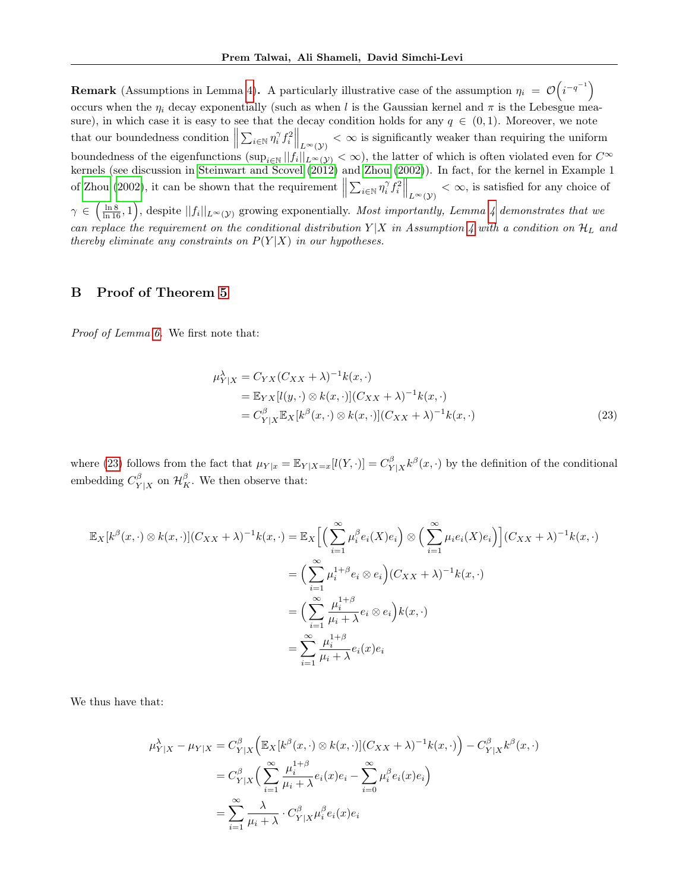**Remark** (Assumptions in Lemma [4\)](#page-5-1). A particularly illustrative case of the assumption  $\eta_i = \mathcal{O}(i^{-q^{-1}})$ occurs when the  $\eta_i$  decay exponentially (such as when l is the Gaussian kernel and  $\pi$  is the Lebesgue measure), in which case it is easy to see that the decay condition holds for any  $q \in (0,1)$ . Moreover, we note that our boundedness condition  $\left\|\sum_{i\in\mathbb{N}}\eta_i^{\gamma}f_i^2\right\|_{L^{\infty}(\mathcal{Y})}<\infty$  is significantly weaker than requiring the uniform boundedness of the eigenfunctions  $(\sup_{i\in\mathbb{N}}||f_i||_{L^{\infty}(\mathcal{Y})}<\infty)$ , the latter of which is often violated even for  $C^{\infty}$ kernels (see discussion in [Steinwart and Scovel](#page-9-0) [\(2012\)](#page-9-0) and [Zhou](#page-9-2) [\(2002\)](#page-9-2)). In fact, for the kernel in Example 1 of [Zhou](#page-9-2) [\(2002\)](#page-9-2), it can be shown that the requirement  $\left\|\sum_{i\in\mathbb{N}}\eta_i^{\gamma}f_i^2\right\|_{L^{\infty}(\mathcal{Y})}<\infty$ , is satisfied for any choice of  $\gamma \in \left(\frac{\ln 8}{\ln 16}, 1\right)$ , despite  $||f_i||_{L^{\infty}(\mathcal{Y})}$  growing exponentially. Most importantly, Lemma [4](#page-5-1) demonstrates that we can replace the requirement on the conditional distribution  $Y|X$  in Assumption [4](#page-4-3) with a condition on  $\mathcal{H}_L$  and thereby eliminate any constraints on  $P(Y|X)$  in our hypotheses.

# B Proof of Theorem [5](#page-6-2)

Proof of Lemma [6.](#page-7-0) We first note that:

<span id="page-13-0"></span>
$$
\mu_{Y|X}^{\lambda} = C_{YX}(C_{XX} + \lambda)^{-1}k(x, \cdot)
$$
  
=  $\mathbb{E}_{YX}[l(y, \cdot) \otimes k(x, \cdot)](C_{XX} + \lambda)^{-1}k(x, \cdot)$   
=  $C_{Y|X}^{\beta} \mathbb{E}_{X}[k^{\beta}(x, \cdot) \otimes k(x, \cdot)](C_{XX} + \lambda)^{-1}k(x, \cdot)$  (23)

where [\(23\)](#page-13-0) follows from the fact that  $\mu_{Y|x} = \mathbb{E}_{Y|X=x}[l(Y, \cdot)] = C_Y^{\beta}$  $\frac{\beta}{Y|X} k^{\beta}(x, \cdot)$  by the definition of the conditional embedding  $C_{\mathbf{v}}^{\beta}$  $\mathcal{H}_{Y|X}^{\beta}$  on  $\mathcal{H}_{K}^{\beta}$ . We then observe that:

$$
\mathbb{E}_{X}[k^{\beta}(x,\cdot)\otimes k(x,\cdot)](C_{XX}+\lambda)^{-1}k(x,\cdot)=\mathbb{E}_{X}\Big[\Big(\sum_{i=1}^{\infty}\mu_{i}^{\beta}e_{i}(X)e_{i}\Big)\otimes\Big(\sum_{i=1}^{\infty}\mu_{i}e_{i}(X)e_{i}\Big)\Big](C_{XX}+\lambda)^{-1}k(x,\cdot)
$$

$$
=\Big(\sum_{i=1}^{\infty}\mu_{i}^{1+\beta}e_{i}\otimes e_{i}\Big)(C_{XX}+\lambda)^{-1}k(x,\cdot)
$$

$$
=\Big(\sum_{i=1}^{\infty}\frac{\mu_{i}^{1+\beta}}{\mu_{i}+\lambda}e_{i}\otimes e_{i}\Big)k(x,\cdot)
$$

$$
=\sum_{i=1}^{\infty}\frac{\mu_{i}^{1+\beta}}{\mu_{i}+\lambda}e_{i}(x)e_{i}
$$

We thus have that:

$$
\mu_{Y|X}^{\lambda} - \mu_{Y|X} = C_{Y|X}^{\beta} \Big( \mathbb{E}_{X} [k^{\beta}(x, \cdot) \otimes k(x, \cdot)] (C_{XX} + \lambda)^{-1} k(x, \cdot) \Big) - C_{Y|X}^{\beta} k^{\beta}(x, \cdot)
$$

$$
= C_{Y|X}^{\beta} \Big( \sum_{i=1}^{\infty} \frac{\mu_{i}^{1+\beta}}{\mu_{i} + \lambda} e_{i}(x) e_{i} - \sum_{i=0}^{\infty} \mu_{i}^{\beta} e_{i}(x) e_{i} \Big)
$$

$$
= \sum_{i=1}^{\infty} \frac{\lambda}{\mu_{i} + \lambda} \cdot C_{Y|X}^{\beta} \mu_{i}^{\beta} e_{i}(x) e_{i}
$$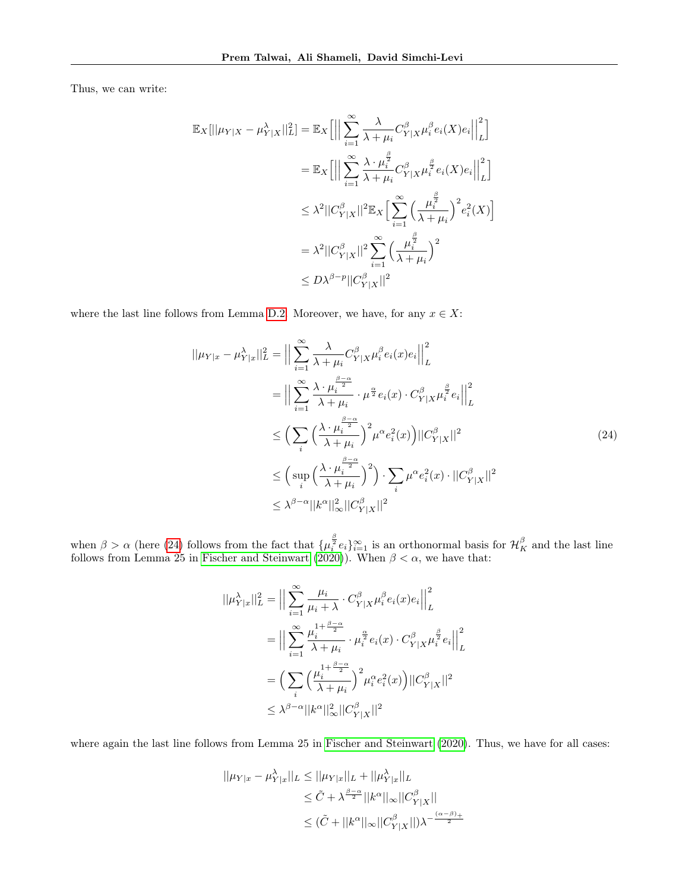Thus, we can write:

$$
\mathbb{E}_{X}[||\mu_{Y|X} - \mu_{Y|X}^{\lambda}||_{L}^{2}] = \mathbb{E}_{X}\Big[\Big|\Big|\sum_{i=1}^{\infty} \frac{\lambda}{\lambda + \mu_{i}} C_{Y|X}^{\beta} \mu_{i}^{\beta} e_{i}(X) e_{i}\Big|\Big|_{L}^{2}\Big]
$$
  
\n
$$
= \mathbb{E}_{X}\Big[\Big|\Big|\sum_{i=1}^{\infty} \frac{\lambda \cdot \mu_{i}^{\frac{\beta}{2}}}{\lambda + \mu_{i}} C_{Y|X}^{\beta} \mu_{i}^{\frac{\beta}{2}} e_{i}(X) e_{i}\Big|\Big|_{L}^{2}\Big]
$$
  
\n
$$
\leq \lambda^{2} ||C_{Y|X}^{\beta}||^{2} \mathbb{E}_{X}\Big[\sum_{i=1}^{\infty} \Big(\frac{\mu_{i}^{\frac{\beta}{2}}}{\lambda + \mu_{i}}\Big)^{2} e_{i}^{2}(X)\Big]
$$
  
\n
$$
= \lambda^{2} ||C_{Y|X}^{\beta}||^{2} \sum_{i=1}^{\infty} \Big(\frac{\mu_{i}^{\frac{\beta}{2}}}{\lambda + \mu_{i}}\Big)^{2}
$$
  
\n
$$
\leq D\lambda^{\beta-p} ||C_{Y|X}^{\beta}||^{2}
$$

where the last line follows from Lemma [D.2.](#page-23-0) Moreover, we have, for any  $x \in X$ :

$$
||\mu_{Y|x} - \mu_{Y|x}^{\lambda}||_{L}^{2} = \Big\|\sum_{i=1}^{\infty} \frac{\lambda}{\lambda + \mu_{i}} C_{Y|X}^{\beta} \mu_{i}^{\beta} e_{i}(x) e_{i}\Big\|_{L}^{2}
$$
  
\n
$$
= \Big\|\sum_{i=1}^{\infty} \frac{\lambda \cdot \mu_{i}^{\frac{\beta-\alpha}{2}}}{\lambda + \mu_{i}} \cdot \mu^{\frac{\alpha}{2}} e_{i}(x) \cdot C_{Y|X}^{\beta} \mu_{i}^{\frac{\beta}{2}} e_{i}\Big\|_{L}^{2}
$$
  
\n
$$
\leq \Big(\sum_{i} \Big(\frac{\lambda \cdot \mu_{i}^{\frac{\beta-\alpha}{2}}}{\lambda + \mu_{i}}\Big)^{2} \mu^{\alpha} e_{i}^{2}(x)\Big) ||C_{Y|X}^{\beta}||^{2}
$$
  
\n
$$
\leq \Big(\sup_{i} \Big(\frac{\lambda \cdot \mu_{i}^{\frac{\beta-\alpha}{2}}}{\lambda + \mu_{i}}\Big)^{2}\Big) \cdot \sum_{i} \mu^{\alpha} e_{i}^{2}(x) \cdot ||C_{Y|X}^{\beta}||^{2}
$$
  
\n
$$
\leq \lambda^{\beta-\alpha} ||k^{\alpha}||_{\infty}^{2} ||C_{Y|X}^{\beta}||^{2}
$$
\n(24)

when  $\beta > \alpha$  (here [\(24\)](#page-14-0) follows from the fact that  $\{\mu_i^{\frac{\beta}{2}}e_i\}_{i=1}^{\infty}$  is an orthonormal basis for  $\mathcal{H}_K^{\beta}$  and the last line follows from Lemma 25 in [Fischer and Steinwart](#page-8-11) [\(2020\)](#page-8-11)). When  $\beta < \alpha$ , we have that:

<span id="page-14-0"></span>
$$
||\mu_{Y|x}^{\lambda}||_{L}^{2} = \Big|\Big|\sum_{i=1}^{\infty} \frac{\mu_{i}}{\mu_{i} + \lambda} \cdot C_{Y|X}^{\beta} \mu_{i}^{\beta} e_{i}(x) e_{i}\Big|\Big|_{L}^{2}
$$
  
\n
$$
= \Big|\Big|\sum_{i=1}^{\infty} \frac{\mu_{i}^{1 + \frac{\beta - \alpha}{2}}}{\lambda + \mu_{i}} \cdot \mu_{i}^{\frac{\alpha}{2}} e_{i}(x) \cdot C_{Y|X}^{\beta} \mu_{i}^{\frac{\beta}{2}} e_{i}\Big|\Big|_{L}^{2}
$$
  
\n
$$
= \Big(\sum_{i} \Big(\frac{\mu_{i}^{1 + \frac{\beta - \alpha}{2}}}{\lambda + \mu_{i}}\Big)^{2} \mu_{i}^{\alpha} e_{i}^{2}(x)\Big) ||C_{Y|X}^{\beta}||^{2}
$$
  
\n
$$
\leq \lambda^{\beta - \alpha} ||k^{\alpha}||_{\infty}^{2} ||C_{Y|X}^{\beta}||^{2}
$$

where again the last line follows from Lemma 25 in [Fischer and Steinwart](#page-8-11) [\(2020\)](#page-8-11). Thus, we have for all cases:

$$
||\mu_{Y|x} - \mu_{Y|x}^{\lambda}||_L \le ||\mu_{Y|x}||_L + ||\mu_{Y|x}^{\lambda}||_L
$$
  
\n
$$
\le \tilde{C} + \lambda^{\frac{\beta - \alpha}{2}} ||k^{\alpha}||_{\infty} ||C_{Y|X}^{\beta}||
$$
  
\n
$$
\le (\tilde{C} + ||k^{\alpha}||_{\infty} ||C_{Y|X}^{\beta}||) \lambda^{-\frac{(\alpha - \beta)}{2}}
$$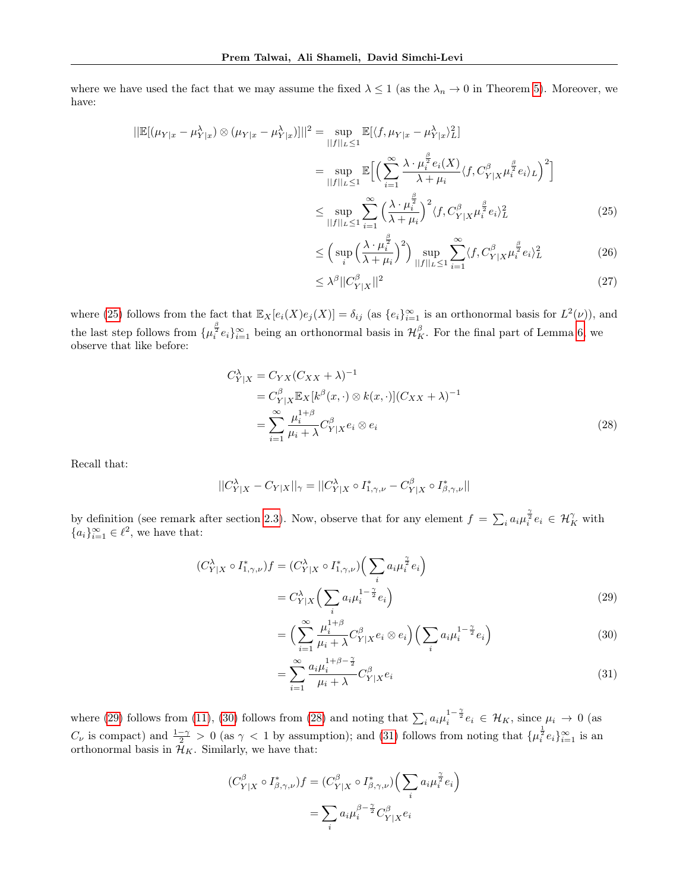where we have used the fact that we may assume the fixed  $\lambda \leq 1$  (as the  $\lambda_n \to 0$  in Theorem [5\)](#page-6-2). Moreover, we have:

$$
\|\mathbb{E}[(\mu_{Y|x} - \mu_{Y|x}^{\lambda}) \otimes (\mu_{Y|x} - \mu_{Y|x}^{\lambda})]| \|^2 = \sup_{\|f\|_{L} \le 1} \mathbb{E}[\langle f, \mu_{Y|x} - \mu_{Y|x}^{\lambda} \rangle]^{2}
$$
  

$$
= \sup_{\|f\|_{L} \le 1} \mathbb{E}\Big[\Big(\sum_{i=1}^{\infty} \frac{\lambda \cdot \mu_{i}^{\frac{\beta}{2}} e_{i}(X)}{\lambda + \mu_{i}} \langle f, C_{Y|X}^{\beta} \mu_{i}^{\frac{\beta}{2}} e_{i} \rangle_{L}\Big)^2\Big]
$$
  

$$
\le \sup_{\|f\|_{L} \le 1} \sum_{i=1}^{\infty} \Big(\frac{\lambda \cdot \mu_{i}^{\frac{\beta}{2}}}{\lambda + \mu_{i}}\Big)^2 \langle f, C_{Y|X}^{\beta} \mu_{i}^{\frac{\beta}{2}} e_{i} \rangle_{L}^2 \tag{25}
$$

<span id="page-15-0"></span>
$$
\leq \left(\sup_{i} \left(\frac{\lambda \cdot \mu_{i}^{\frac{\beta}{2}}}{\lambda + \mu_{i}}\right)^{2}\right) \sup_{||f||_{L} \leq 1} \sum_{i=1}^{\infty} \langle f, C_{Y|X}^{\beta} \mu_{i}^{\frac{\beta}{2}} e_{i} \rangle_{L}^{2}
$$
(26)

<span id="page-15-3"></span>
$$
\leq \lambda^{\beta} ||C_{Y|X}^{\beta}||^2 \tag{27}
$$

where [\(25\)](#page-15-0) follows from the fact that  $\mathbb{E}_X[e_i(X)e_j(X)] = \delta_{ij}$  (as  $\{e_i\}_{i=1}^{\infty}$  is an orthonormal basis for  $L^2(\nu)$ ), and the last step follows from  $\{\mu_i^{\frac{\beta}{2}}e_i\}_{i=1}^{\infty}$  being an orthonormal basis in  $\mathcal{H}_K^{\beta}$ . For the final part of Lemma [6,](#page-7-0) we observe that like before:

$$
C_{Y|X}^{\lambda} = C_{YX}(C_{XX} + \lambda)^{-1}
$$
  
=  $C_{Y|X}^{\beta} \mathbb{E}_{X}[k^{\beta}(x, \cdot) \otimes k(x, \cdot)](C_{XX} + \lambda)^{-1}$   
= 
$$
\sum_{i=1}^{\infty} \frac{\mu_i^{1+\beta}}{\mu_i + \lambda} C_{Y|X}^{\beta} e_i \otimes e_i
$$
 (28)

Recall that:

$$
||C_{Y|X}^{\lambda} - C_{Y|X}||_{\gamma} = ||C_{Y|X}^{\lambda} \circ I_{1,\gamma,\nu}^* - C_{Y|X}^{\beta} \circ I_{\beta,\gamma,\nu}^*||
$$

by definition (see remark after section [2.3\)](#page-3-3). Now, observe that for any element  $f = \sum_i a_i \mu_i^{\frac{\gamma}{2}} e_i \in \mathcal{H}_K^{\gamma}$  with  ${a_i}_{i=1}^{\infty} \in \ell^2$ , we have that:

$$
(C_{Y|X}^{\lambda} \circ I_{1,\gamma,\nu}^*)f = (C_{Y|X}^{\lambda} \circ I_{1,\gamma,\nu}^*) \Big(\sum_i a_i \mu_i^{\frac{\gamma}{2}} e_i\Big)
$$
  

$$
= C_{Y|X}^{\lambda} \Big(\sum_i a_i \mu_i^{1-\frac{\gamma}{2}} e_i\Big)
$$
 (29)

<span id="page-15-2"></span><span id="page-15-1"></span>
$$
= \Big(\sum_{i=1}^{\infty} \frac{\mu_i^{1+\beta}}{\mu_i + \lambda} C_{Y|X}^{\beta} e_i \otimes e_i\Big) \Big(\sum_i a_i \mu_i^{1-\frac{\gamma}{2}} e_i\Big) \tag{30}
$$

<span id="page-15-4"></span>
$$
=\sum_{i=1}^{\infty} \frac{a_i \mu_i^{1+\beta-\frac{\gamma}{2}}}{\mu_i + \lambda} C_{Y|X}^{\beta} e_i
$$
\n(31)

where [\(29\)](#page-15-1) follows from [\(11\)](#page-10-0), [\(30\)](#page-15-2) follows from [\(28\)](#page-15-3) and noting that  $\sum_i a_i \mu_i^{1-\frac{\gamma}{2}} e_i \in \mathcal{H}_K$ , since  $\mu_i \to 0$  (as  $C_{\nu}$  is compact) and  $\frac{1-\gamma}{2} > 0$  (as  $\gamma < 1$  by assumption); and [\(31\)](#page-15-4) follows from noting that  $\{\mu_i^{\frac{1}{2}}e_i\}_{i=1}^{\infty}$  is an orthonormal basis in  $\mathcal{H}_K$ . Similarly, we have that:

$$
(C_{Y|X}^{\beta} \circ I_{\beta,\gamma,\nu}^*)f = (C_{Y|X}^{\beta} \circ I_{\beta,\gamma,\nu}^*) \Big(\sum_i a_i \mu_i^{\frac{\gamma}{2}} e_i\Big)
$$

$$
= \sum_i a_i \mu_i^{\beta - \frac{\gamma}{2}} C_{Y|X}^{\beta} e_i
$$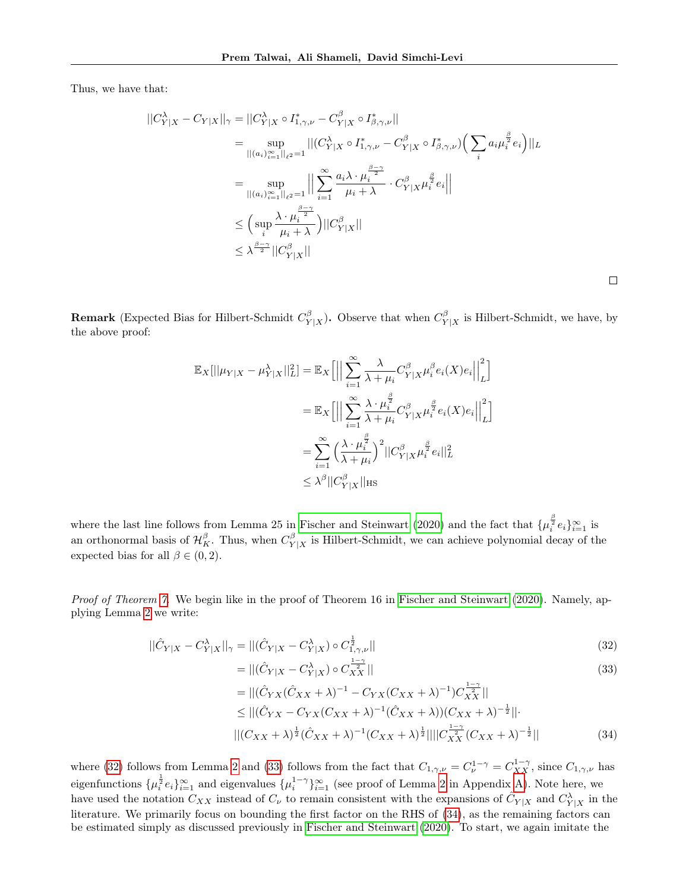Thus, we have that:

$$
\begin{split} ||C_{Y|X}^{\lambda} - C_{Y|X}||_{\gamma} &= ||C_{Y|X}^{\lambda} \circ I_{1,\gamma,\nu}^{*} - C_{Y|X}^{\beta} \circ I_{\beta,\gamma,\nu}^{*}|| \\ &= \sup_{||(a_{i})_{i=1}^{\infty}||_{\ell^{2}}=1} ||(C_{Y|X}^{\lambda} \circ I_{1,\gamma,\nu}^{*} - C_{Y|X}^{\beta} \circ I_{\beta,\gamma,\nu}^{*}) \Big( \sum_{i} a_{i} \mu_{i}^{\frac{\beta}{2}} e_{i} \Big) ||_{L} \\ &= \sup_{||(a_{i})_{i=1}^{\infty}||_{\ell^{2}}=1} \Big| \Big| \sum_{i=1}^{\infty} \frac{a_{i} \lambda \cdot \mu_{i}^{\frac{\beta-\gamma}{2}}}{\mu_{i} + \lambda} \cdot C_{Y|X}^{\beta} \mu_{i}^{\frac{\beta}{2}} e_{i} \Big| \Big| \\ &\leq \Big( \sup_{i} \frac{\lambda \cdot \mu_{i}^{\frac{\beta-\gamma}{2}}}{\mu_{i} + \lambda} \Big) ||C_{Y|X}^{\beta}|| \\ &\leq \lambda^{\frac{\beta-\gamma}{2}} ||C_{Y|X}^{\beta}|| \end{split}
$$

**Remark** (Expected Bias for Hilbert-Schmidt  $C_V^{\beta}$  $\frac{\beta}{Y|X}$ ). Observe that when  $C_Y^{\beta}$  $Y|X$  is Hilbert-Schmidt, we have, by the above proof:

$$
\mathbb{E}_{X}[||\mu_{Y|X} - \mu_{Y|X}^{\lambda}||_{L}^{2}] = \mathbb{E}_{X}\Big[\Big|\Big|\sum_{i=1}^{\infty} \frac{\lambda}{\lambda + \mu_{i}} C_{Y|X}^{\beta} \mu_{i}^{\beta} e_{i}(X) e_{i}\Big|\Big|_{L}^{2}\Big]
$$
  
\n
$$
= \mathbb{E}_{X}\Big[\Big|\Big|\sum_{i=1}^{\infty} \frac{\lambda \cdot \mu_{i}^{\frac{\beta}{2}}}{\lambda + \mu_{i}} C_{Y|X}^{\beta} \mu_{i}^{\frac{\beta}{2}} e_{i}(X) e_{i}\Big|\Big|_{L}^{2}\Big]
$$
  
\n
$$
= \sum_{i=1}^{\infty} \Big(\frac{\lambda \cdot \mu_{i}^{\frac{\beta}{2}}}{\lambda + \mu_{i}}\Big)^{2} ||C_{Y|X}^{\beta} \mu_{i}^{\frac{\beta}{2}} e_{i}||_{L}^{2}
$$
  
\n
$$
\leq \lambda^{\beta} ||C_{Y|X}^{\beta}||_{\text{HS}}
$$

where the last line follows from Lemma 25 in [Fischer and Steinwart](#page-8-11) [\(2020\)](#page-8-11) and the fact that  $\{\mu_i^{\frac{\beta}{2}}e_i\}_{i=1}^{\infty}$  is an orthonormal basis of  $\mathcal{H}_K^{\beta}$ . Thus, when  $C_Y^{\beta}$  $\frac{\beta}{Y|X}$  is Hilbert-Schmidt, we can achieve polynomial decay of the expected bias for all  $\beta \in (0, 2)$ .

Proof of Theorem [7.](#page-7-1) We begin like in the proof of Theorem 16 in [Fischer and Steinwart](#page-8-11) [\(2020\)](#page-8-11). Namely, applying Lemma [2](#page-3-4) we write:

$$
||\hat{C}_{Y|X} - C_{Y|X}^{\lambda}||_{\gamma} = ||(\hat{C}_{Y|X} - C_{Y|X}^{\lambda}) \circ C_{1,\gamma,\nu}^{\frac{1}{2}}||
$$
\n(32)

$$
= ||(\hat{C}_{Y|X} - C_{Y|X}^{\lambda}) \circ C_{XX}^{\frac{1}{2}}||
$$
\n
$$
= ||(\hat{C}_{Y|X} - C_{Y|X}^{\lambda}) \circ C_{XX}^{\frac{1}{2}}||
$$
\n
$$
= ||(\hat{C}_{Y|X} - C_{Y|X}^{\lambda})^{-1} - C_{Y|X}^{\lambda}C_{Y|X}^{\lambda} + \lambda)^{-1}||C_{X|X}^{\frac{1-\gamma}{2}}||
$$
\n(33)

<span id="page-16-0"></span> $\Box$ 

<span id="page-16-2"></span><span id="page-16-1"></span>
$$
= ||(\hat{C}_{YX}(\hat{C}_{XX} + \lambda)^{-1} - C_{YX}(C_{XX} + \lambda)^{-1})C_{XX}^{\frac{1-\gamma}{2}}||
$$
  
\n
$$
\leq ||(\hat{C}_{YX} - C_{YX}(C_{XX} + \lambda)^{-1}(\hat{C}_{XX} + \lambda))(C_{XX} + \lambda)^{-\frac{1}{2}}||.
$$
  
\n
$$
||(C_{XX} + \lambda)^{\frac{1}{2}}(\hat{C}_{XX} + \lambda)^{-1}(C_{XX} + \lambda)^{\frac{1}{2}}|| ||C_{XX}^{\frac{1-\gamma}{2}}(C_{XX} + \lambda)^{-\frac{1}{2}}||
$$
\n(34)

where [\(32\)](#page-16-0) follows from Lemma [2](#page-3-4) and [\(33\)](#page-16-1) follows from the fact that  $C_{1,\gamma,\nu} = C_{\nu}^{1-\gamma} = C_{XX}^{1-\gamma}$ , since  $C_{1,\gamma,\nu}$  has eigenfunctions  $\{\mu_i^{\frac{1}{2}}e_i\}_{i=1}^{\infty}$  and eigenvalues  $\{\mu_i^{1-\gamma}\}_{i=1}^{\infty}$  (see proof of Lemma [2](#page-3-4) in Appendix [A\)](#page-10-1). Note here, we have used the notation  $C_{XX}$  instead of  $C_{\nu}$  to remain consistent with the expansions of  $\hat C_{Y|X}$  and  $C_{Y|X}^{\lambda}$  in the literature. We primarily focus on bounding the first factor on the RHS of [\(34\)](#page-16-2), as the remaining factors can be estimated simply as discussed previously in [Fischer and Steinwart](#page-8-11) [\(2020\)](#page-8-11). To start, we again imitate the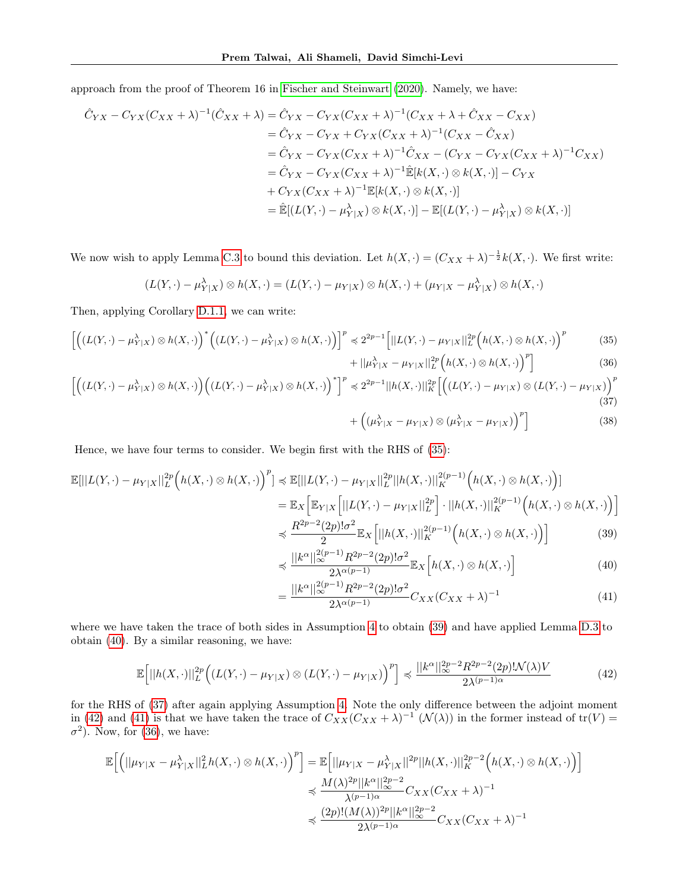approach from the proof of Theorem 16 in [Fischer and Steinwart](#page-8-11) [\(2020\)](#page-8-11). Namely, we have:

$$
\hat{C}_{YX} - C_{YX}(C_{XX} + \lambda)^{-1}(\hat{C}_{XX} + \lambda) = \hat{C}_{YX} - C_{YX}(C_{XX} + \lambda)^{-1}(C_{XX} + \lambda + \hat{C}_{XX} - C_{XX})
$$
  
\n
$$
= \hat{C}_{YX} - C_{YX} + C_{YX}(C_{XX} + \lambda)^{-1}(C_{XX} - \hat{C}_{XX})
$$
  
\n
$$
= \hat{C}_{YX} - C_{YX}(C_{XX} + \lambda)^{-1}\hat{C}_{XX} - (C_{YX} - C_{YX}(C_{XX} + \lambda)^{-1}C_{XX})
$$
  
\n
$$
= \hat{C}_{YX} - C_{YX}(C_{XX} + \lambda)^{-1}\hat{\mathbb{E}}[k(X, \cdot) \otimes k(X, \cdot)] - C_{YX}
$$
  
\n
$$
+ C_{YX}(C_{XX} + \lambda)^{-1}\mathbb{E}[k(X, \cdot) \otimes k(X, \cdot)]
$$
  
\n
$$
= \hat{\mathbb{E}}[(L(Y, \cdot) - \mu_{Y|X}^{\lambda}) \otimes k(X, \cdot)] - \mathbb{E}[(L(Y, \cdot) - \mu_{Y|X}^{\lambda}) \otimes k(X, \cdot)]
$$

We now wish to apply Lemma [C.3](#page-22-0) to bound this deviation. Let  $h(X, \cdot) = (C_{XX} + \lambda)^{-\frac{1}{2}} k(X, \cdot)$ . We first write:

$$
(L(Y, \cdot) - \mu_{Y|X}^{\lambda}) \otimes h(X, \cdot) = (L(Y, \cdot) - \mu_{Y|X}) \otimes h(X, \cdot) + (\mu_{Y|X} - \mu_{Y|X}^{\lambda}) \otimes h(X, \cdot)
$$

Then, applying Corollary [D.1.1,](#page-23-1) we can write:

$$
\left[ \left( (L(Y, \cdot) - \mu_{Y|X}^{\lambda}) \otimes h(X, \cdot) \right)^{*} \left( (L(Y, \cdot) - \mu_{Y|X}^{\lambda}) \otimes h(X, \cdot) \right) \right]^{p} \preccurlyeq 2^{2p-1} \left[ ||L(Y, \cdot) - \mu_{Y|X}||_{L}^{2p} \left( h(X, \cdot) \otimes h(X, \cdot) \right)^{p} \right] \tag{35}
$$

<span id="page-17-6"></span><span id="page-17-0"></span>
$$
+ ||\mu_{Y|X}^{\lambda} - \mu_{Y|X}||_{L}^{2p} \Big( h(X, \cdot) \otimes h(X, \cdot) \Big)^{p} \Big]
$$
 (36)

$$
\left[ \left( (L(Y, \cdot) - \mu_{Y|X}^{\lambda}) \otimes h(X, \cdot) \right) \left( (L(Y, \cdot) - \mu_{Y|X}^{\lambda}) \otimes h(X, \cdot) \right)^{*} \right]^{p} \preccurlyeq 2^{2p-1} ||h(X, \cdot)||_{K}^{2p} \left[ \left( (L(Y, \cdot) - \mu_{Y|X}) \otimes (L(Y, \cdot) - \mu_{Y|X}) \right)^{p} \right]^{p}
$$
\n(37)

<span id="page-17-7"></span><span id="page-17-5"></span><span id="page-17-3"></span><span id="page-17-2"></span><span id="page-17-1"></span>
$$
+\left((\mu_{Y|X}^{\lambda}-\mu_{Y|X})\otimes(\mu_{Y|X}^{\lambda}-\mu_{Y|X})\right)^{p}\right]
$$
\n(38)

Hence, we have four terms to consider. We begin first with the RHS of [\(35\)](#page-17-0):

=

$$
\mathbb{E}[||L(Y,\cdot)-\mu_{Y|X}||_{L}^{2p}\left(h(X,\cdot)\otimes h(X,\cdot)\right)^{p}] \preccurlyeq \mathbb{E}[||L(Y,\cdot)-\mu_{Y|X}||_{L}^{2p}||h(X,\cdot)||_{K}^{2(p-1)}\left(h(X,\cdot)\otimes h(X,\cdot)\right)]
$$
\n
$$
=\mathbb{E}_{X}\left[\mathbb{E}_{Y|X}\left[||L(Y,\cdot)-\mu_{Y|X}||_{L}^{2p}\right]\cdot||h(X,\cdot)||_{K}^{2(p-1)}\left(h(X,\cdot)\otimes h(X,\cdot)\right)\right]
$$
\n
$$
\preccurlyeq \frac{R^{2p-2}(2p)!\sigma^{2}}{2}\mathbb{E}_{X}\left[||h(X,\cdot)||_{K}^{2(p-1)}\left(h(X,\cdot)\otimes h(X,\cdot)\right)\right]
$$
\n(39)

$$
\preccurlyeq \frac{||k^{\alpha}||_{\infty}^{2(p-1)} R^{2p-2}(2p)! \sigma^2}{2\lambda^{\alpha(p-1)}} \mathbb{E}_X \left[ h(X, \cdot) \otimes h(X, \cdot) \right] \tag{40}
$$

<span id="page-17-4"></span>
$$
=\frac{||k^{\alpha}||_{\infty}^{2(p-1)}R^{2p-2}(2p)!\sigma^{2}}{2\lambda^{\alpha(p-1)}}C_{XX}(C_{XX}+\lambda)^{-1}
$$
\n(41)

where we have taken the trace of both sides in Assumption [4](#page-4-3) to obtain [\(39\)](#page-17-1) and have applied Lemma [D.3](#page-24-1) to obtain [\(40\)](#page-17-2). By a similar reasoning, we have:

$$
\mathbb{E}\Big[\left|\left|h(X,\cdot)\right|\right|_{L}^{2p}\Big(\left(L(Y,\cdot)-\mu_{Y|X}\right)\otimes\left(L(Y,\cdot)-\mu_{Y|X}\right)\Big)^{p}\Big] \preccurlyeq \frac{\left|\left|k^{\alpha}\right|\right|_{\infty}^{2p-2}R^{2p-2}(2p)!\mathcal{N}(\lambda)V}{2\lambda^{(p-1)\alpha}}\tag{42}
$$

for the RHS of [\(37\)](#page-17-3) after again applying Assumption [4.](#page-4-3) Note the only difference between the adjoint moment in [\(42\)](#page-17-4) and [\(41\)](#page-17-5) is that we have taken the trace of  $C_{XX}(C_{XX} + \lambda)^{-1}$  ( $\mathcal{N}(\lambda)$ ) in the former instead of tr(V) =  $\sigma^2$ ). Now, for [\(36\)](#page-17-6), we have:

$$
\mathbb{E}\Big[\Big(||\mu_{Y|X}-\mu_{Y|X}^{\lambda}||_{L}^{2}h(X,\cdot)\otimes h(X,\cdot)\Big)^{p}\Big]=\mathbb{E}\Big[||\mu_{Y|X}-\mu_{Y|X}^{\lambda}||^{2p}||h(X,\cdot)||_{K}^{2p-2}\Big(h(X,\cdot)\otimes h(X,\cdot)\Big)\Big] \leqslant \frac{M(\lambda)^{2p}||k^{\alpha}||_{\infty}^{2p-2}}{\lambda^{(p-1)\alpha}}C_{XX}(C_{XX}+\lambda)^{-1} \leqslant \frac{(2p)!(M(\lambda))^{2p}||k^{\alpha}||_{\infty}^{2p-2}}{2\lambda^{(p-1)\alpha}}C_{XX}(C_{XX}+\lambda)^{-1}
$$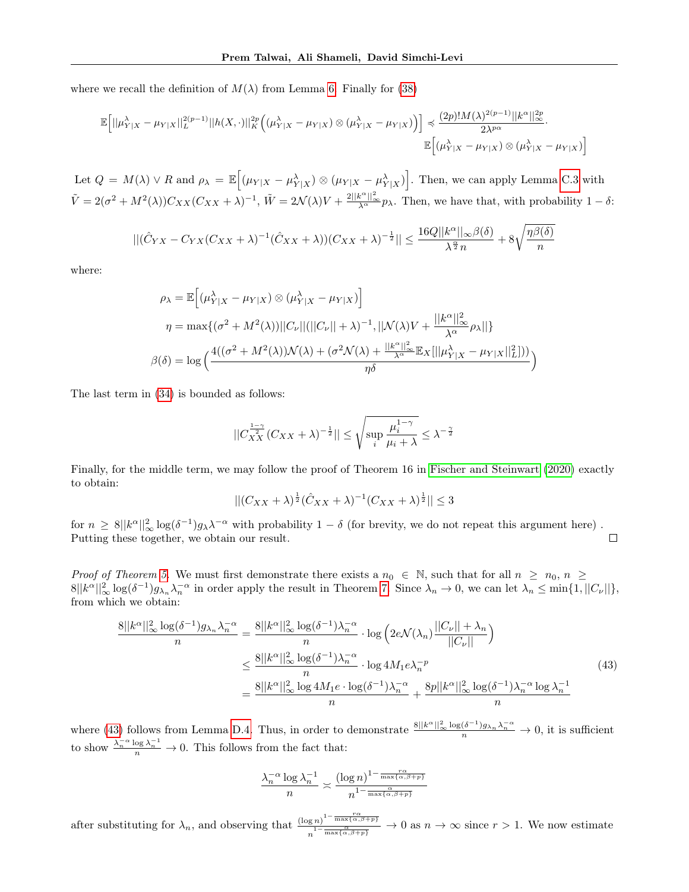where we recall the definition of  $M(\lambda)$  from Lemma [6.](#page-7-0) Finally for [\(38\)](#page-17-7)

$$
\mathbb{E}\Big[\|\mu_{Y|X}^{\lambda}-\mu_{Y|X}\|_{L}^{2(p-1)}\|h(X,\cdot)\|_{K}^{2p}\Big((\mu_{Y|X}^{\lambda}-\mu_{Y|X})\otimes(\mu_{Y|X}^{\lambda}-\mu_{Y|X})\Big)\Big] \preccurlyeq \frac{(2p)!M(\lambda)^{2(p-1)}\|k^{\alpha}\|_{\infty}^{2p}}{2\lambda^{p\alpha}}.
$$
  

$$
\mathbb{E}\Big[(\mu_{Y|X}^{\lambda}-\mu_{Y|X})\otimes(\mu_{Y|X}^{\lambda}-\mu_{Y|X})\Big]
$$

Let  $Q = M(\lambda) \vee R$  and  $\rho_{\lambda} = \mathbb{E} \left[ (\mu_{Y|X} - \mu_{Y|X}^{\lambda}) \otimes (\mu_{Y|X} - \mu_{Y|X}^{\lambda}) \right]$ . Then, we can apply Lemma [C.3](#page-22-0) with  $\tilde{V} = 2(\sigma^2 + M^2(\lambda))C_{XX}(C_{XX} + \lambda)^{-1}, \ \tilde{W} = 2\mathcal{N}(\lambda)V + \frac{2||k^{\alpha}||_{\infty}^2}{\lambda^{\alpha}}p_{\lambda}.$  Then, we have that, with probability  $1 - \delta$ :

$$
||(\hat{C}_{YX} - C_{YX}(C_{XX} + \lambda)^{-1}(\hat{C}_{XX} + \lambda))(C_{XX} + \lambda)^{-\frac{1}{2}}|| \le \frac{16Q||k^{\alpha}||_{\infty}\beta(\delta)}{\lambda^{\frac{\alpha}{2}}n} + 8\sqrt{\frac{\eta\beta(\delta)}{n}}
$$

where:

$$
\rho_{\lambda} = \mathbb{E}\Big[ (\mu_{Y|X}^{\lambda} - \mu_{Y|X}) \otimes (\mu_{Y|X}^{\lambda} - \mu_{Y|X}) \Big]
$$
  
\n
$$
\eta = \max\{ (\sigma^2 + M^2(\lambda)) ||C_{\nu}|| (||C_{\nu}|| + \lambda)^{-1}, ||\mathcal{N}(\lambda)V + \frac{||k^{\alpha}||_{\infty}^2}{\lambda^{\alpha}} \rho_{\lambda} || \}
$$
  
\n
$$
\beta(\delta) = \log \Big( \frac{4((\sigma^2 + M^2(\lambda))\mathcal{N}(\lambda) + (\sigma^2 \mathcal{N}(\lambda) + \frac{||k^{\alpha}||_{\infty}^2}{\lambda^{\alpha}} \mathbb{E}_X [||\mu_{Y|X}^{\lambda} - \mu_{Y|X}||_L^2]))}{\eta \delta} \Big)
$$

The last term in [\(34\)](#page-16-2) is bounded as follows:

$$
||C_{XX}^{\frac{1-\gamma}{2}}(C_{XX}+\lambda)^{-\frac{1}{2}}||\leq \sqrt{\sup_i\frac{\mu_i^{1-\gamma}}{\mu_i+\lambda}}\leq \lambda^{-\frac{\gamma}{2}}
$$

Finally, for the middle term, we may follow the proof of Theorem 16 in [Fischer and Steinwart](#page-8-11) [\(2020\)](#page-8-11) exactly to obtain:

$$
||(C_{XX} + \lambda)^{\frac{1}{2}}(\hat{C}_{XX} + \lambda)^{-1}(C_{XX} + \lambda)^{\frac{1}{2}}|| \le 3
$$

for  $n \geq 8||k^{\alpha}||_{\infty}^2 \log(\delta^{-1})g_{\lambda} \lambda^{-\alpha}$  with probability  $1-\delta$  (for brevity, we do not repeat this argument here). Putting these together, we obtain our result.  $\Box$ 

Proof of Theorem [5.](#page-6-2) We must first demonstrate there exists a  $n_0 \in \mathbb{N}$ , such that for all  $n \ge n_0$ ,  $n \ge n_1$  $8||k^{\alpha}||_{\infty}^{2} \log(\delta^{-1})g_{\lambda_{n}}\lambda_{n}^{-\alpha}$  in order apply the result in Theorem [7.](#page-7-1) Since  $\lambda_{n} \to 0$ , we can let  $\lambda_{n} \leq \min\{1, ||C_{\nu}||\},$ from which we obtain:

$$
\frac{8||k^{\alpha}||_{\infty}^{2}\log(\delta^{-1})g_{\lambda_{n}}\lambda_{n}^{-\alpha}}{n} = \frac{8||k^{\alpha}||_{\infty}^{2}\log(\delta^{-1})\lambda_{n}^{-\alpha}}{n} \cdot \log\left(2e\mathcal{N}(\lambda_{n})\frac{||C_{\nu}|| + \lambda_{n}}{||C_{\nu}||}\right)
$$

$$
\leq \frac{8||k^{\alpha}||_{\infty}^{2}\log(\delta^{-1})\lambda_{n}^{-\alpha}}{n} \cdot \log 4M_{1}e\lambda_{n}^{-p}
$$

$$
= \frac{8||k^{\alpha}||_{\infty}^{2}\log 4M_{1}e \cdot \log(\delta^{-1})\lambda_{n}^{-\alpha}}{n} + \frac{8p||k^{\alpha}||_{\infty}^{2}\log(\delta^{-1})\lambda_{n}^{-\alpha}\log\lambda_{n}^{-1}}{n}
$$
(43)

where [\(43\)](#page-18-0) follows from Lemma [D.4.](#page-24-2) Thus, in order to demonstrate  $\frac{8||k^{\alpha}||_{\infty}^{2}\log(\delta^{-1})g_{\lambda_{n}}\lambda_{n}^{-\alpha}}{n} \to 0$ , it is sufficient to show  $\frac{\lambda_n^{-\alpha} \log \lambda_n^{-1}}{n} \to 0$ . This follows from the fact that:

<span id="page-18-0"></span>
$$
\frac{\lambda_n^{-\alpha}\log\lambda_n^{-1}}{n} \asymp \frac{(\log n)^{1-\frac{r\alpha}{\max\{\alpha,\beta+p\}}}}{n^{1-\frac{\alpha}{\max\{\alpha,\beta+p\}}}}
$$

after substituting for  $\lambda_n$ , and observing that  $\frac{(\log n)^{1-\frac{n\alpha}{\max\{\alpha,\beta+p\}}}}{1-\frac{\alpha}{\max\{\alpha,\beta+p\}}}}$  $\frac{\alpha}{n}$  $\frac{n}{1-\frac{\alpha}{\max{\{\alpha,\beta+p\}}}}$   $\to 0$  as  $n \to \infty$  since  $r > 1$ . We now estimate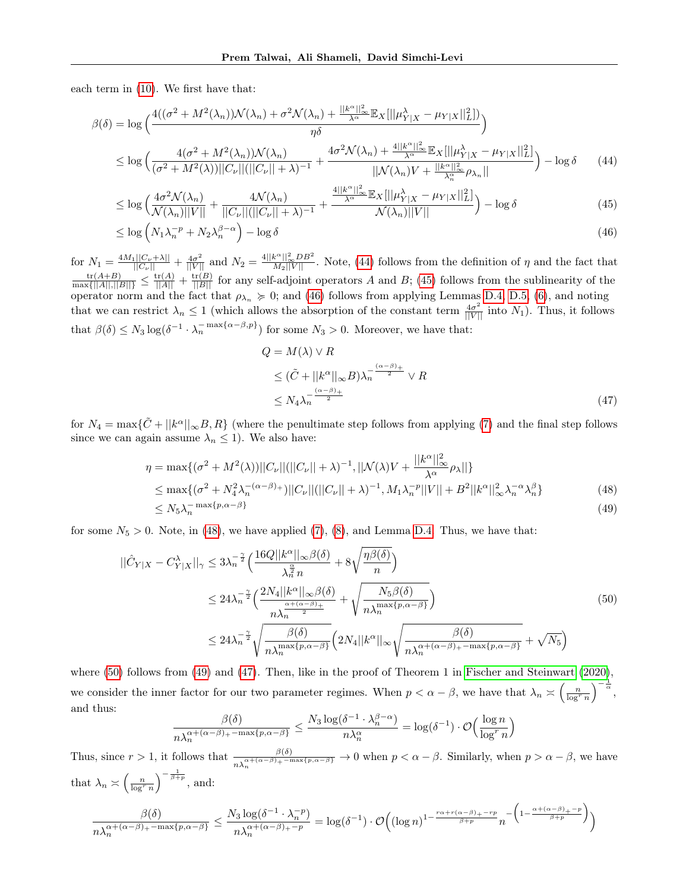each term in [\(10\)](#page-7-3). We first have that:

$$
\beta(\delta) = \log \left( \frac{4((\sigma^2 + M^2(\lambda_n))\mathcal{N}(\lambda_n) + \sigma^2 \mathcal{N}(\lambda_n) + \frac{||k^{\alpha}||_{\infty}^2}{\lambda^{\alpha}} \mathbb{E}_X[||\mu_{Y|X}^{\lambda} - \mu_{Y|X}||_L^2])}{\eta \delta} \right)
$$
  

$$
\leq \log \left( \frac{4(\sigma^2 + M^2(\lambda_n))\mathcal{N}(\lambda_n)}{(\sigma^2 + M^2(\lambda))||C_{\nu}||(|C_{\nu}| + \lambda)^{-1}} + \frac{4\sigma^2 \mathcal{N}(\lambda_n) + \frac{4||k^{\alpha}||_{\infty}^2}{\lambda^{\alpha}} \mathbb{E}_X[||\mu_{Y|X}^{\lambda} - \mu_{Y|X}||_L^2]}{||\mathcal{N}(\lambda_n)V + \frac{||k^{\alpha}||_{\infty}^2}{\lambda_n^{\alpha}} \rho_{\lambda_n}||} \right) - \log \delta \qquad (44)
$$

$$
\leq \log \left( \frac{4\sigma^2 \mathcal{N}(\lambda_n)}{\mathcal{N}(\lambda_n)||V||} + \frac{4\mathcal{N}(\lambda_n)}{||C_\nu||(||C_\nu|| + \lambda)^{-1}} + \frac{\frac{4||k^\alpha||_\infty^2}{\lambda^\alpha} \mathbb{E}_X[||\mu_{Y|X}^\lambda - \mu_{Y|X}||_L^2]}{\mathcal{N}(\lambda_n)||V||} \right) - \log \delta \tag{45}
$$

$$
\leq \log \left( N_1 \lambda_n^{-p} + N_2 \lambda_n^{\beta - \alpha} \right) - \log \delta \tag{46}
$$

for  $N_1 = \frac{4M_1||C_\nu + \lambda||}{||C_\nu||} + \frac{4\sigma^2}{||V||}$  and  $N_2 = \frac{4||k^\alpha||_\infty^2DB^2}{M_2||V||}$ . Note, [\(44\)](#page-19-0) follows from the definition of  $\eta$  and the fact that  $\frac{\text{tr}(A+B)}{\max\{||A||,||B||\}} \le \frac{\text{tr}(A)}{||A||} + \frac{\text{tr}(B)}{||B||}$  for any self-ad operator norm and the fact that  $\rho_{\lambda_n} \geq 0$ ; and [\(46\)](#page-19-2) follows from applying Lemmas [D.4,](#page-24-2) [D.5,](#page-24-3) [\(6\)](#page-7-2), and noting that we can restrict  $\lambda_n \leq 1$  (which allows the absorption of the constant term  $\frac{4\sigma^2}{\|V\|}$  into  $N_1$ ). Thus, it follows that  $\beta(\delta) \leq N_3 \log(\delta^{-1} \cdot \lambda_n^{-\max\{\alpha-\beta,p\}})$  for some  $N_3 > 0$ . Moreover, we have that:

<span id="page-19-6"></span><span id="page-19-5"></span><span id="page-19-4"></span><span id="page-19-3"></span><span id="page-19-2"></span><span id="page-19-1"></span><span id="page-19-0"></span>
$$
Q = M(\lambda) \vee R
$$
  
\n
$$
\leq (\tilde{C} + ||k^{\alpha}||_{\infty} B)\lambda_n^{-\frac{(\alpha - \beta) + 2}{2}} \vee R
$$
  
\n
$$
\leq N_4 \lambda_n^{-\frac{(\alpha - \beta) + 2}{2}}
$$
\n(47)

for  $N_4 = \max{\{\tilde{C} + ||k^{\alpha}||_{\infty}B, R\}}$  (where the penultimate step follows from applying [\(7\)](#page-7-5) and the final step follows since we can again assume  $\lambda_n \leq 1$ ). We also have:

$$
\eta = \max\{(\sigma^2 + M^2(\lambda))||C_{\nu}||(||C_{\nu}|| + \lambda)^{-1}, ||\mathcal{N}(\lambda)V + \frac{||k^{\alpha}||_{\infty}^2}{\lambda^{\alpha}}\rho_{\lambda}||\}
$$
  
\n
$$
\leq \max\{(\sigma^2 + N_4^2\lambda_n^{-(\alpha-\beta)+})||C_{\nu}||(||C_{\nu}|| + \lambda)^{-1}, M_1\lambda_n^{-p}||V|| + B^2||k^{\alpha}||_{\infty}^2\lambda_n^{-\alpha}\lambda_n^{\beta}\}
$$
(48)  
\n
$$
\leq N_5\lambda_n^{-\max\{p,\alpha-\beta\}}
$$
(49)

for some  $N_5 > 0$ . Note, in [\(48\)](#page-19-3), we have applied [\(7\)](#page-7-5), [\(8\)](#page-7-6), and Lemma [D.4.](#page-24-2) Thus, we have that:

$$
\begin{split} ||\hat{C}_{Y|X} - C_{Y|X}^{\lambda}||_{\gamma} &\leq 3\lambda_n^{-\frac{\gamma}{2}} \Big(\frac{16Q||k^{\alpha}||_{\infty}\beta(\delta)}{\lambda_n^{\frac{\alpha}{2}}n} + 8\sqrt{\frac{\eta\beta(\delta)}{n}}\Big) \\ &\leq 24\lambda_n^{-\frac{\gamma}{2}} \Big(\frac{2N_4||k^{\alpha}||_{\infty}\beta(\delta)}{n\lambda_n^{\frac{\alpha+(\alpha-\beta)}{2}}} + \sqrt{\frac{N_5\beta(\delta)}{n\lambda_n^{\max\{p,\alpha-\beta\}}}}\Big) \\ &\leq 24\lambda_n^{-\frac{\gamma}{2}} \sqrt{\frac{\beta(\delta)}{n\lambda_n^{\max\{p,\alpha-\beta\}}}} \Big(2N_4||k^{\alpha}||_{\infty} \sqrt{\frac{\beta(\delta)}{n\lambda_n^{\alpha+(\alpha-\beta)+\max\{p,\alpha-\beta\}}}} + \sqrt{N_5}\Big) \end{split} \tag{50}
$$

where [\(50\)](#page-19-4) follows from [\(49\)](#page-19-5) and [\(47\)](#page-19-6). Then, like in the proof of Theorem 1 in [Fischer and Steinwart](#page-8-11) [\(2020\)](#page-8-11), we consider the inner factor for our two parameter regimes. When  $p < \alpha - \beta$ , we have that  $\lambda_n \geq \left(\frac{n}{\log^r n}\right)^{-\frac{1}{\alpha}},$ and thus: −1  $\beta-\alpha$ 

$$
\frac{\beta(\delta)}{n\lambda_n^{\alpha+(\alpha-\beta)+\max\{p,\alpha-\beta\}}} \le \frac{N_3\log(\delta^{-1}\cdot \lambda_n^{\beta-\alpha})}{n\lambda_n^{\alpha}} = \log(\delta^{-1})\cdot \mathcal{O}\Big(\frac{\log n}{\log^r n}\Big)
$$

Thus, since  $r > 1$ , it follows that  $\frac{\beta(\delta)}{n\lambda_n^{\alpha+(\alpha-\beta)}+\max\{p,\alpha-\beta\}} \to 0$  when  $p < \alpha - \beta$ . Similarly, when  $p > \alpha - \beta$ , we have that  $\lambda_n \asymp \left(\frac{n}{\log^r n}\right)^{-\frac{1}{\beta+p}},$  and:

$$
\frac{\beta(\delta)}{n\lambda_n^{\alpha + (\alpha-\beta)_+ - \max\{p,\alpha-\beta\}}} \le \frac{N_3\log(\delta^{-1}\cdot \lambda_n^{-p})}{n\lambda_n^{\alpha + (\alpha-\beta)_+ - p}} = \log(\delta^{-1})\cdot \mathcal{O}\Big((\log n)^{1 - \frac{r\alpha + r(\alpha-\beta)_+ - rp}{\beta + p}}n^{-\left(1 - \frac{\alpha + (\alpha-\beta)_+ - p}{\beta + p}\right)}\Big)
$$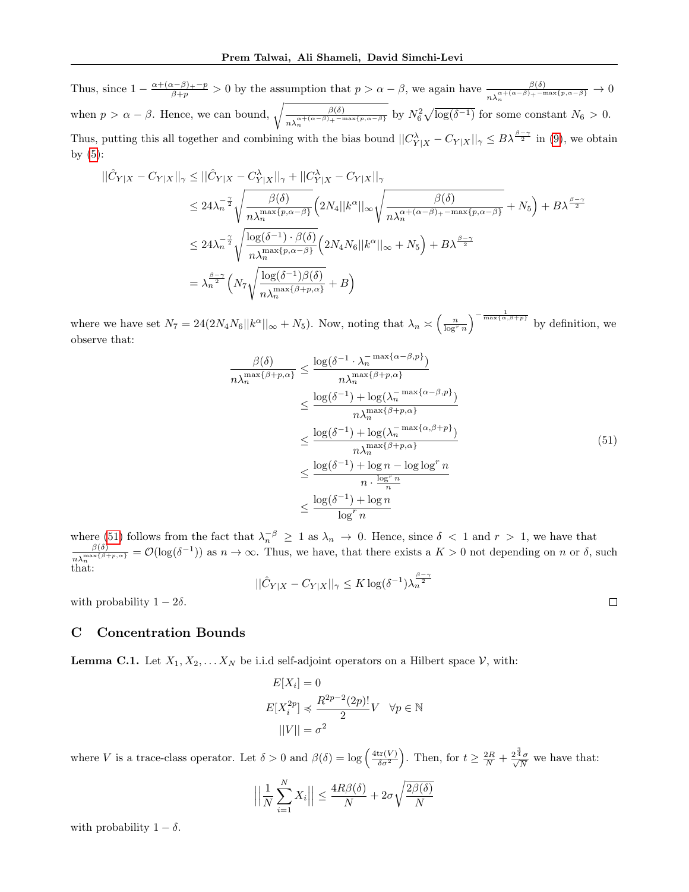Thus, since  $1 - \frac{\alpha + (\alpha - \beta) + p}{\beta + p} > 0$  by the assumption that  $p > \alpha - \beta$ , we again have  $\frac{\beta(\delta)}{n \lambda_n^{\alpha + (\alpha - \beta)} + \max\{p, \alpha - \beta\}} \to 0$ when  $p > \alpha - \beta$ . Hence, we can bound,  $\sqrt{\frac{\beta(\delta)}{\beta} \sum_{k=1}^{\beta}$  $\frac{\beta(\delta)}{n\lambda_n^{\alpha+(\alpha-\beta)}+\max\{p,\alpha-\beta\}}$  by  $N_6^2\sqrt{\log(\delta^{-1})}$  for some constant  $N_6 > 0$ . Thus, putting this all together and combining with the bias bound  $||C_{Y|X}^{\lambda} - C_{Y|X}||_{\gamma} \leq B\lambda^{\frac{\beta-\gamma}{2}}$  in [\(9\)](#page-7-4), we obtain by  $(5)$ :

$$
\begin{split} ||\hat{C}_{Y|X} - C_{Y|X}||_{\gamma} &\leq ||\hat{C}_{Y|X} - C_{Y|X}^{\lambda}||_{\gamma} + ||C_{Y|X}^{\lambda} - C_{Y|X}||_{\gamma} \\ &\leq 24\lambda_n^{-\frac{\gamma}{2}} \sqrt{\frac{\beta(\delta)}{n\lambda_n^{\max\{p,\alpha-\beta\}}}} \Big( 2N_4 ||k^{\alpha}||_{\infty} \sqrt{\frac{\beta(\delta)}{n\lambda_n^{\alpha+(\alpha-\beta)+ - \max\{p,\alpha-\beta\}}}} + N_5 \Big) + B\lambda^{\frac{\beta-\gamma}{2}} \\ &\leq 24\lambda_n^{-\frac{\gamma}{2}} \sqrt{\frac{\log(\delta^{-1}) \cdot \beta(\delta)}{n\lambda_n^{\max\{p,\alpha-\beta\}}}} \Big( 2N_4 N_6 ||k^{\alpha}||_{\infty} + N_5 \Big) + B\lambda^{\frac{\beta-\gamma}{2}} \\ &= \lambda_n^{\frac{\beta-\gamma}{2}} \Big( N_7 \sqrt{\frac{\log(\delta^{-1})\beta(\delta)}{n\lambda_n^{\max\{\beta+p,\alpha\}}}} + B \Big) \end{split}
$$

where we have set  $N_7 = 24(2N_4N_6||k^{\alpha}||_{\infty} + N_5)$ . Now, noting that  $\lambda_n \asymp \left(\frac{n}{\log^r n}\right)^{-\frac{1}{\max\{\alpha,\beta+p\}}}$  by definition, we observe that:

$$
\frac{\beta(\delta)}{n\lambda_n^{\max\{\beta+p,\alpha\}}} \le \frac{\log(\delta^{-1} \cdot \lambda_n^{-\max\{\alpha-\beta,p\}})}{n\lambda_n^{\max\{\beta+p,\alpha\}}}
$$
\n
$$
\le \frac{\log(\delta^{-1}) + \log(\lambda_n^{-\max\{\alpha-\beta,p\}})}{n\lambda_n^{\max\{\beta+p,\alpha\}}}
$$
\n
$$
\le \frac{\log(\delta^{-1}) + \log(\lambda_n^{-\max\{\alpha,\beta+p\}})}{n\lambda_n^{\max\{\beta+p,\alpha\}}}
$$
\n
$$
\le \frac{\log(\delta^{-1}) + \log n - \log\log^r n}{n \cdot \frac{\log^r n}{n}}
$$
\n
$$
\le \frac{\log(\delta^{-1}) + \log n}{\log^r n}
$$
\n(51)

<span id="page-20-0"></span> $\Box$ 

where [\(51\)](#page-20-0) follows from the fact that  $\lambda_n^{-\beta} \geq 1$  as  $\lambda_n \to 0$ . Hence, since  $\delta < 1$  and  $r > 1$ , we have that  $\beta(\delta) = \beta(\log(\delta-1))$  as  $n \to \infty$ . Thus, we have that there exists a  $K > 0$  pot depending on  $n \in \mathbb{R}$ .  $\frac{\beta(\delta)}{n\lambda_n^{\max\{\beta+p,\alpha\}}} = \mathcal{O}(\log(\delta^{-1}))$  as  $n \to \infty$ . Thus, we have, that there exists a  $K > 0$  not depending on n or  $\delta$ , such that:

$$
||\hat{C}_{Y|X} - C_{Y|X}||_{\gamma} \leq K \log(\delta^{-1}) \lambda_n^{\frac{\beta - \gamma}{2}}
$$

with probability  $1 - 2\delta$ .

#### C Concentration Bounds

<span id="page-20-1"></span>**Lemma C.1.** Let  $X_1, X_2, \ldots X_N$  be i.i.d self-adjoint operators on a Hilbert space  $V$ , with:

$$
E[X_i] = 0
$$
  
\n
$$
E[X_i^{2p}] \preccurlyeq \frac{R^{2p-2}(2p)!}{2}V \quad \forall p \in \mathbb{N}
$$
  
\n
$$
||V|| = \sigma^2
$$

where V is a trace-class operator. Let  $\delta > 0$  and  $\beta(\delta) = \log \left( \frac{4 \text{tr}(V)}{\delta \sigma^2} \right)$ . Then, for  $t \geq \frac{2R}{N} + \frac{2^{\frac{3}{4}}\sigma}{\sqrt{N}}$  $\frac{N}{N}$  we have that:

$$
\left| \left| \frac{1}{N} \sum_{i=1}^{N} X_i \right| \right| \le \frac{4R\beta(\delta)}{N} + 2\sigma \sqrt{\frac{2\beta(\delta)}{N}}
$$

with probability  $1 - \delta$ .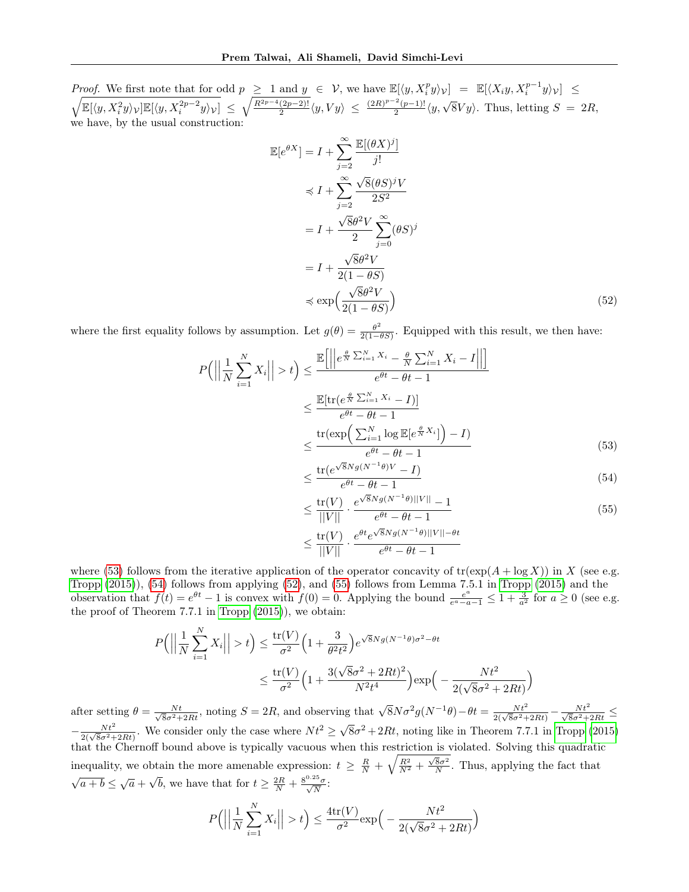Proof. We first note that for odd  $p \geq 1$  and  $y \in V$ , we have  $\mathbb{E}[\langle y, X_i^p y \rangle_V] = \mathbb{E}[\langle X_i y, X_i^{p-1} \rangle]$  $y\rangle_{\mathcal{V}}] \leq$  $\mathbb{E}[\langle y, X_i^2y \rangle_{\mathcal{V}}] \mathbb{E}[\langle y, X_i^{2p-2}y \rangle_{\mathcal{V}}] \, \leq \, \sqrt{\frac{R^{2p-4}(2p-2)!}{2}}$  $\frac{(2p-2)!}{2} \langle y, Vy \rangle \leq \frac{(2R)^{p-2}(p-1)!}{2}$  $\frac{2(p-1)!}{2}(y,\sqrt{8}Vy)$ . Thus, letting  $S = 2R$ , we have, by the usual construction:

$$
\mathbb{E}[e^{\theta X}] = I + \sum_{j=2}^{\infty} \frac{\mathbb{E}[(\theta X)^j]}{j!}
$$
  
\n
$$
\preccurlyeq I + \sum_{j=2}^{\infty} \frac{\sqrt{8}(\theta S)^j V}{2S^2}
$$
  
\n
$$
= I + \frac{\sqrt{8}\theta^2 V}{2} \sum_{j=0}^{\infty} (\theta S)^j
$$
  
\n
$$
= I + \frac{\sqrt{8}\theta^2 V}{2(1 - \theta S)}
$$
  
\n
$$
\preccurlyeq \exp\left(\frac{\sqrt{8}\theta^2 V}{2(1 - \theta S)}\right)
$$
 (52)

where the first equality follows by assumption. Let  $g(\theta) = \frac{\theta^2}{2(1-\theta)}$  $\frac{\theta^2}{2(1-\theta S)}$ . Equipped with this result, we then have:

$$
P\left(\left|\left|\frac{1}{N}\sum_{i=1}^{N}X_{i}\right|\right|>t\right) \leq \frac{\mathbb{E}\left[\left|\left|e^{\frac{\theta}{N}\sum_{i=1}^{N}X_{i}} - \frac{\theta}{N}\sum_{i=1}^{N}X_{i} - I\right|\right|\right]}{e^{\theta t} - \theta t - 1}
$$

$$
\leq \frac{\mathbb{E}[\text{tr}(e^{\frac{\theta}{N}\sum_{i=1}^{N}X_{i}} - I)]}{e^{\theta t} - \theta t - 1}
$$

$$
\leq \frac{\text{tr}(\exp\left(\sum_{i=1}^{N}\log \mathbb{E}[e^{\frac{\theta}{N}X_{i}}]\right) - I)}{e^{\theta t} - \theta t - 1}
$$
(53)

<span id="page-21-2"></span><span id="page-21-1"></span><span id="page-21-0"></span>
$$
\leq \frac{\text{tr}(e^{\sqrt{8}Ng(N^{-1}\theta)V} - I)}{e^{\theta t} - \theta t - 1} \tag{54}
$$

<span id="page-21-3"></span>
$$
\leq \frac{\text{tr}(V)}{||V||} \cdot \frac{e^{\sqrt{8}Ng(N^{-1}\theta)||V||} - 1}{e^{\theta t} - \theta t - 1} \tag{55}
$$

$$
\leq \frac{\text{tr}(V)}{||V||} \cdot \frac{e^{\theta t} e^{\sqrt{8}Ng(N^{-1}\theta)||V|| - \theta t}}{e^{\theta t} - \theta t - 1}
$$

where [\(53\)](#page-21-0) follows from the iterative application of the operator concavity of  $tr(exp(A + log X))$  in X (see e.g. [Tropp](#page-9-3) [\(2015\)](#page-9-3)), [\(54\)](#page-21-1) follows from applying [\(52\)](#page-21-2), and [\(55\)](#page-21-3) follows from Lemma 7.5.1 in [Tropp](#page-9-3) [\(2015\)](#page-9-3) and the observation that  $f(t) = e^{\theta t} - 1$  is convex with  $f(0) = 0$ . Applying the bound  $\frac{e^a}{e^a - a}$  $\frac{e^a}{e^a-a-1} \leq 1 + \frac{3}{a^2}$  for  $a \geq 0$  (see e.g. the proof of Theorem 7.7.1 in [Tropp](#page-9-3) [\(2015\)](#page-9-3)), we obtain:

$$
P\left(\left|\left|\frac{1}{N}\sum_{i=1}^{N}X_i\right|\right|>t\right) \le \frac{\text{tr}(V)}{\sigma^2}\left(1+\frac{3}{\theta^2t^2}\right)e^{\sqrt{8}Ng(N^{-1}\theta)\sigma^2-\theta t}
$$

$$
\le \frac{\text{tr}(V)}{\sigma^2}\left(1+\frac{3(\sqrt{8}\sigma^2+2Rt)^2}{N^2t^4}\right)\exp\left(-\frac{Nt^2}{2(\sqrt{8}\sigma^2+2Rt)}\right)
$$

after setting  $\theta = \frac{Nt}{\sqrt{8}\sigma^2 + 2Rt}$ , noting  $S = 2R$ , and observing that  $\sqrt{8}N\sigma^2g(N^{-1}\theta) - \theta t = \frac{Nt^2}{2(\sqrt{8}\sigma^2 + 2Rt)} - \frac{Nt^2}{\sqrt{8}\sigma^2 + 2Rt} \le$  $-\frac{Nt^2}{2(\sqrt{8}\sigma^2+2Rt)}$ . We consider only the case where  $Nt^2 \ge \sqrt{2}$  $\overline{8}\sigma^2 + 2Rt$ , noting like in Theorem 7.7.1 in [Tropp](#page-9-3) [\(2015\)](#page-9-3) that the Chernoff bound above is typically vacuous when this restriction is violated. Solving this quadratic inequality, we obtain the more amenable expression:  $t \geq \frac{R}{N} + \sqrt{\frac{R^2}{N^2} + \frac{\sqrt{8}\sigma^2}{N}}$ . Thus, applying the fact that  $\frac{1}{a+b} \leq \sqrt{a} +$ √  $\overline{b}$ , we have that for  $t \geq \frac{2R}{N} + \frac{8^{0.25}\sigma}{\sqrt{N}}$ :

$$
P\left(\left|\left|\frac{1}{N}\sum_{i=1}^{N}X_i\right|\right|>t\right)\leq \frac{4\text{tr}(V)}{\sigma^2}\text{exp}\left(-\frac{Nt^2}{2(\sqrt{8}\sigma^2+2Rt)}\right)
$$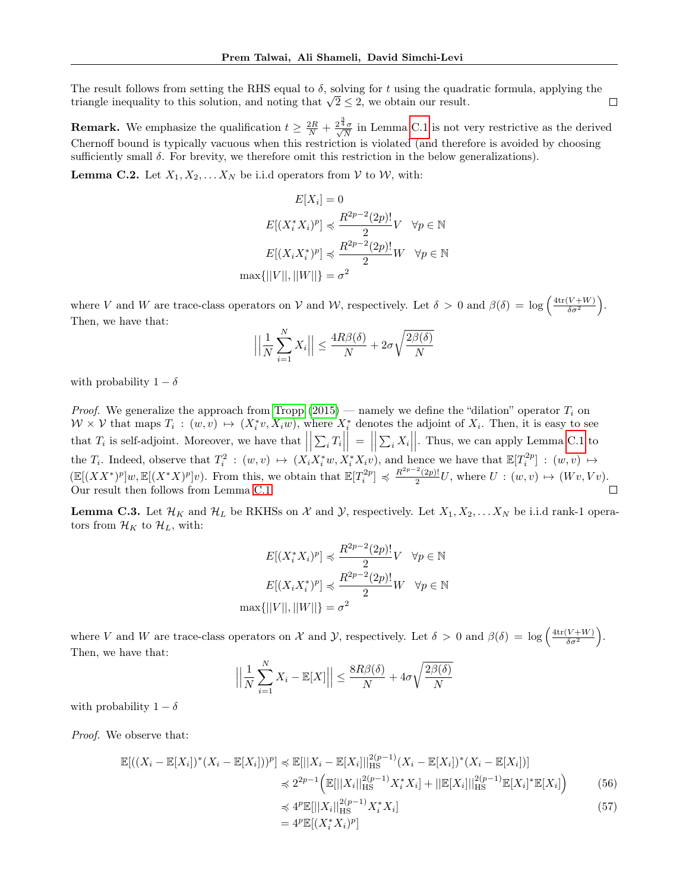The result follows from setting the RHS equal to  $\delta$ , solving for t using the quadratic formula, applying the The result follows from setting the KHS equal to  $\delta$ , solving for t using the quadition triangle inequality to this solution, and noting that  $\sqrt{2} \leq 2$ , we obtain our result.  $\Box$ 

**Remark.** We emphasize the qualification  $t \geq \frac{2R}{N} + \frac{2^{\frac{3}{4}}\sigma}{\sqrt{N}}$  $\frac{1}{N}$  in Lemma [C.1](#page-20-1) is not very restrictive as the derived Chernoff bound is typically vacuous when this restriction is violated (and therefore is avoided by choosing sufficiently small  $\delta$ . For brevity, we therefore omit this restriction in the below generalizations).

<span id="page-22-3"></span>**Lemma C.2.** Let  $X_1, X_2, \ldots X_N$  be i.i.d operators from  $V$  to  $W$ , with:

$$
E[X_i] = 0
$$
  
\n
$$
E[(X_i^* X_i)^p] \preccurlyeq \frac{R^{2p-2}(2p)!}{2} V \quad \forall p \in \mathbb{N}
$$
  
\n
$$
E[(X_i X_i^*)^p] \preccurlyeq \frac{R^{2p-2}(2p)!}{2} W \quad \forall p \in \mathbb{N}
$$
  
\n
$$
\max\{||V||, ||W||\} = \sigma^2
$$

where V and W are trace-class operators on V and W, respectively. Let  $\delta > 0$  and  $\beta(\delta) = \log \left( \frac{4 \text{tr}(V + W)}{\delta \sigma^2} \right)$ . Then, we have that:

$$
\left| \left| \frac{1}{N} \sum_{i=1}^{N} X_i \right| \right| \le \frac{4R\beta(\delta)}{N} + 2\sigma \sqrt{\frac{2\beta(\delta)}{N}}
$$

with probability  $1 - \delta$ 

*Proof.* We generalize the approach from [Tropp](#page-9-3)  $(2015)$  — namely we define the "dilation" operator  $T_i$  on  $W \times V$  that maps  $T_i : (w, v) \mapsto (X_i^* v, X_i w)$ , where  $X_i^*$  denotes the adjoint of  $X_i$ . Then, it is easy to see that  $T_i$  is self-adjoint. Moreover, we have that  $\Big|$  $\left| \sum_i T_i \right|$  $\vert$  =  $\vert$  $\left| \sum_i X_i \right|$ . Thus, we can apply Lemma [C.1](#page-20-1) to the  $T_i$ . Indeed, observe that  $T_i^2$ :  $(w, v) \mapsto (X_i X_i^* w, X_i^* X_i v)$ , and hence we have that  $\mathbb{E}[T_i^{2p}]$ :  $(w, v) \mapsto$  $(\mathbb{E}[(XX^*)^p]w, \mathbb{E}[(X^*X)^p]v)$ . From this, we obtain that  $\mathbb{E}[T_i^{2p}] \preccurlyeq \frac{R^{2p-2}(2p)!}{2}$  $\frac{C(2p)!}{2}U$ , where  $U: (w, v) \mapsto (Wv, Vv)$ . Our result then follows from Lemma [C.1.](#page-20-1)  $\Box$ 

<span id="page-22-0"></span>**Lemma C.3.** Let  $\mathcal{H}_K$  and  $\mathcal{H}_L$  be RKHSs on X and Y, respectively. Let  $X_1, X_2, \ldots X_N$  be i.i.d rank-1 operators from  $\mathcal{H}_K$  to  $\mathcal{H}_L$ , with:

$$
E[(X_i^* X_i)^p] \preccurlyeq \frac{R^{2p-2}(2p)!}{2} V \quad \forall p \in \mathbb{N}
$$

$$
E[(X_i X_i^*)^p] \preccurlyeq \frac{R^{2p-2}(2p)!}{2} W \quad \forall p \in \mathbb{N}
$$

$$
\max\{||V||, ||W||\} = \sigma^2
$$

where V and W are trace-class operators on X and Y, respectively. Let  $\delta > 0$  and  $\beta(\delta) = \log \left( \frac{4 \text{tr}(V + W)}{\delta \sigma^2} \right)$ . Then, we have that:

$$
\left| \left| \frac{1}{N} \sum_{i=1}^{N} X_i - \mathbb{E}[X] \right| \right| \le \frac{8R\beta(\delta)}{N} + 4\sigma \sqrt{\frac{2\beta(\delta)}{N}}
$$

with probability  $1 - \delta$ 

Proof. We observe that:

$$
\mathbb{E}[( (X_i - \mathbb{E}[X_i])^* (X_i - \mathbb{E}[X_i]))^p ] \preccurlyeq \mathbb{E}[||X_i - \mathbb{E}[X_i]||_{\text{HS}}^{2(p-1)} (X_i - \mathbb{E}[X_i])^* (X_i - \mathbb{E}[X_i])]
$$
  
\n
$$
\preccurlyeq 2^{2p-1} \Big( \mathbb{E}[||X_i||_{\text{HS}}^{2(p-1)} X_i^* X_i] + ||\mathbb{E}[X_i]||_{\text{HS}}^{2(p-1)} \mathbb{E}[X_i]^* \mathbb{E}[X_i] \Big)
$$
\n
$$
\preccurlyeq 4^p \mathbb{E}[||X_i||_{\text{HS}}^{2(p-1)} X_i^* X_i] \tag{57}
$$

<span id="page-22-2"></span><span id="page-22-1"></span>
$$
\preceq 4^p \mathbb{E}[||X_i||_{\text{HS}}^{2(p-1)} X_i^* X_i]
$$
  
= 4^p \mathbb{E}[(X\_i^\* X\_i)^p] (57)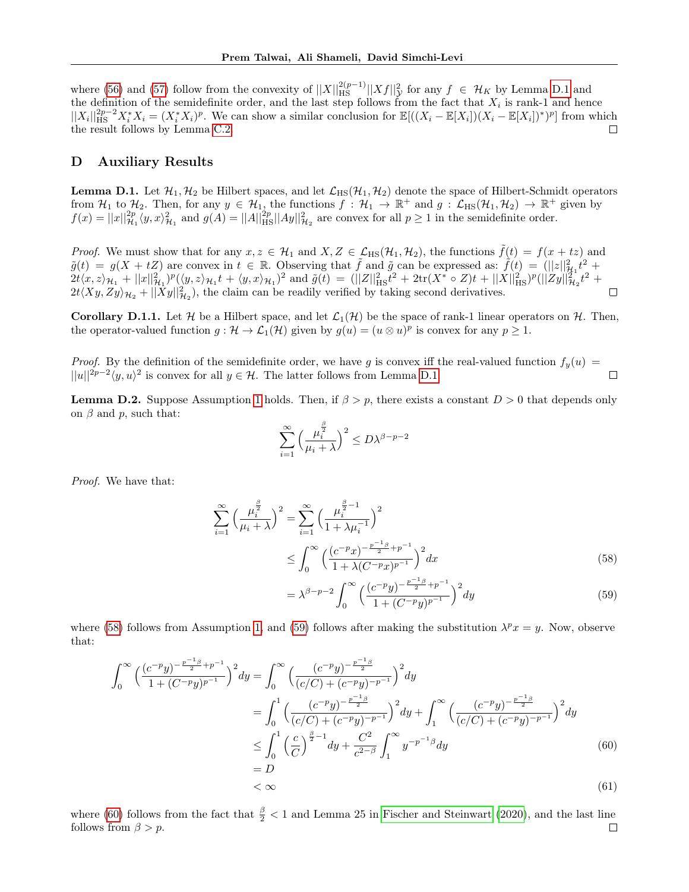where [\(56\)](#page-22-1) and [\(57\)](#page-22-2) follow from the convexity of  $||X||_{\text{HS}}^{2(p-1)}||Xf||_{\mathcal{Y}}^2$  for any  $f \in \mathcal{H}_K$  by Lemma [D.1](#page-23-2) and the definition of the semidefinite order, and the last step follows from the fact that  $X_i$  is rank-1 and hence  $||X_i||_{\text{HS}}^{2p-2} X_i^* X_i = (X_i^* X_i)^p$ . We can show a similar conclusion for  $\mathbb{E}[((X_i - \mathbb{E}[X_i])(X_i - \mathbb{E}[X_i])^*)^p]$  from which the result follows by Lemma [C.2.](#page-22-3) П

# D Auxiliary Results

<span id="page-23-2"></span>**Lemma D.1.** Let  $\mathcal{H}_1, \mathcal{H}_2$  be Hilbert spaces, and let  $\mathcal{L}_{HS}(\mathcal{H}_1, \mathcal{H}_2)$  denote the space of Hilbert-Schmidt operators from  $\mathcal{H}_1$  to  $\mathcal{H}_2$ . Then, for any  $y \in \mathcal{H}_1$ , the functions  $f : \mathcal{H}_1 \to \mathbb{R}^+$  and  $g : \mathcal{L}_{HS}(\mathcal{H}_1, \mathcal{H}_2) \to \mathbb{R}^+$  given by  $f(x) = ||x||_{\mathcal{H}_1}^{2p} \langle y, x \rangle_{\mathcal{H}_1}^2$  and  $g(A) = ||A||_{\text{HS}}^{2p} ||Ay||_{\mathcal{H}_2}^2$  are convex for all  $p \ge 1$  in the semidefinite order.

*Proof.* We must show that for any  $x, z \in \mathcal{H}_1$  and  $X, Z \in \mathcal{L}_{HS}(\mathcal{H}_1, \mathcal{H}_2)$ , the functions  $\tilde{f}(t) = f(x + tz)$  and  $\tilde{g}(t) = g(X + tZ)$  are convex in  $t \in \mathbb{R}$ . Observing that  $\tilde{f}$  and  $\tilde{g}$  can be expressed as:  $\tilde{f}(t) = (||z||_{\mathcal{H}_1}^2 t^2 +$  $2t\langle x,z\rangle_{\mathcal{H}_1} + ||x||_{\mathcal{H}_1}^2)^p(\langle y,z\rangle_{\mathcal{H}_1}t + \langle y,x\rangle_{\mathcal{H}_1})^2$  and  $\tilde{g}(t) = (||Z||_{\text{HS}}^2t^2 + 2\text{tr}(X^* \circ Z)t + ||X||_{\text{HS}}^2)^p(||Zy||_{\mathcal{H}_2}^2t^2 +$  $2t\langle Xy, Zy\rangle_{\mathcal{H}_2}+||\tilde{X}y||_{\mathcal{H}_2}^2$ , the claim can be readily verified by taking second derivatives.  $\Box$ 

<span id="page-23-1"></span>**Corollary D.1.1.** Let H be a Hilbert space, and let  $\mathcal{L}_1(\mathcal{H})$  be the space of rank-1 linear operators on H. Then, the operator-valued function  $g: \mathcal{H} \to \mathcal{L}_1(\mathcal{H})$  given by  $g(u) = (u \otimes u)^p$  is convex for any  $p \geq 1$ .

*Proof.* By the definition of the semidefinite order, we have g is convex iff the real-valued function  $f_y(u)$  =  $||u||^{2p-2}\langle y,u\rangle^2$  is convex for all  $y \in \mathcal{H}$ . The latter follows from Lemma [D.1.](#page-23-2)  $\Box$ 

<span id="page-23-0"></span>**Lemma D.2.** Suppose Assumption [1](#page-4-0) holds. Then, if  $\beta > p$ , there exists a constant  $D > 0$  that depends only on  $\beta$  and  $p$ , such that:

$$
\sum_{i=1}^{\infty} \left( \frac{\mu_i^{\frac{\beta}{2}}}{\mu_i + \lambda} \right)^2 \le D\lambda^{\beta - p - 2}
$$

Proof. We have that:

$$
\sum_{i=1}^{\infty} \left( \frac{\mu_i^{\frac{\beta}{2}}}{\mu_i + \lambda} \right)^2 = \sum_{i=1}^{\infty} \left( \frac{\mu_i^{\frac{\beta}{2} - 1}}{1 + \lambda \mu_i^{-1}} \right)^2
$$
  
 
$$
\leq \int_0^{\infty} \left( \frac{(c^{-p}x)^{-\frac{p^{-1}\beta}{2} + p^{-1}}}{1 + \lambda (C^{-p}x)^{p^{-1}}} \right)^2 dx
$$
 (58)

<span id="page-23-4"></span><span id="page-23-3"></span>
$$
= \lambda^{\beta - p - 2} \int_0^\infty \left( \frac{(c^{-p}y)^{-\frac{p^{-1}\beta}{2} + p^{-1}}}{1 + (C^{-p}y)^{p^{-1}}} \right)^2 dy \tag{59}
$$

where [\(58\)](#page-23-3) follows from Assumption [1,](#page-4-0) and [\(59\)](#page-23-4) follows after making the substitution  $\lambda^p x = y$ . Now, observe that:

<span id="page-23-5"></span> $=$ 

$$
\int_0^\infty \left(\frac{(c^{-p}y)^{-\frac{p^{-1}\beta}{2}+p^{-1}}}{1+(C^{-p}y)^{p^{-1}}}\right)^2 dy = \int_0^\infty \left(\frac{(c^{-p}y)^{-\frac{p^{-1}\beta}{2}}}{(c/C)+(c^{-p}y)^{-p^{-1}}}\right)^2 dy
$$
  
\n
$$
= \int_0^1 \left(\frac{(c^{-p}y)^{-\frac{p^{-1}\beta}{2}}}{(c/C)+(c^{-p}y)^{-p^{-1}}}\right)^2 dy + \int_1^\infty \left(\frac{(c^{-p}y)^{-\frac{p^{-1}\beta}{2}}}{(c/C)+(c^{-p}y)^{-p^{-1}}}\right)^2 dy
$$
  
\n
$$
\leq \int_0^1 \left(\frac{c}{C}\right)^{\frac{\beta}{2}-1} dy + \frac{C^2}{c^{2-\beta}} \int_1^\infty y^{-p^{-1}\beta} dy
$$
  
\n
$$
= D
$$
 (60)

$$
\langle \infty \tag{61}
$$

where [\(60\)](#page-23-5) follows from the fact that  $\frac{\beta}{2}$  < 1 and Lemma 25 in [Fischer and Steinwart](#page-8-11) [\(2020\)](#page-8-11), and the last line follows from  $\beta > p$ .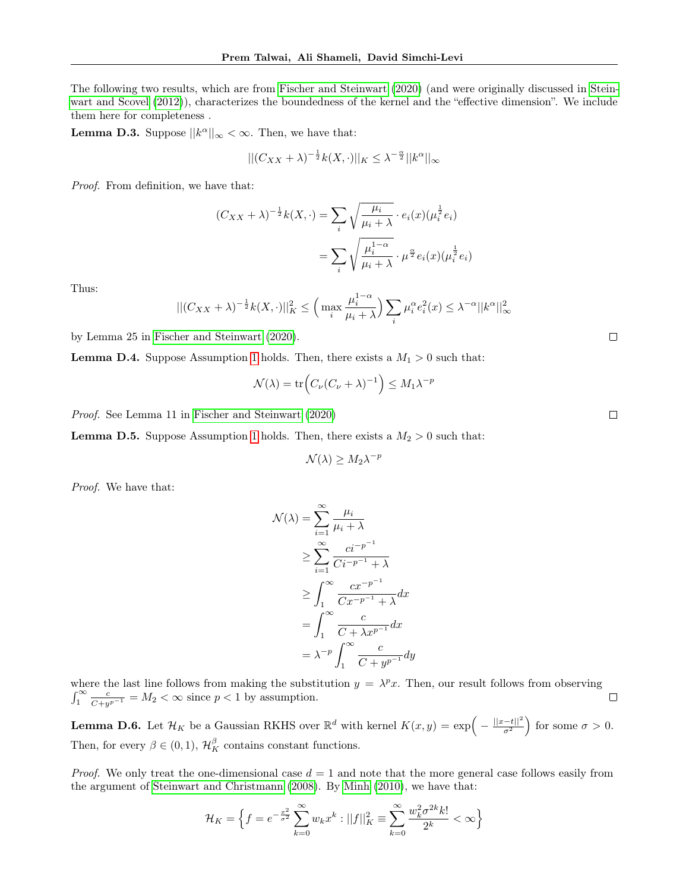The following two results, which are from [Fischer and Steinwart](#page-8-11) [\(2020\)](#page-8-11) (and were originally discussed in [Stein](#page-9-0)[wart and Scovel](#page-9-0) [\(2012\)](#page-9-0)), characterizes the boundedness of the kernel and the "effective dimension". We include them here for completeness .

<span id="page-24-1"></span>**Lemma D.3.** Suppose  $||k^{\alpha}||_{\infty} < \infty$ . Then, we have that:

$$
||(C_{XX} + \lambda)^{-\frac{1}{2}}k(X, \cdot)||_K \leq \lambda^{-\frac{\alpha}{2}}||k^{\alpha}||_{\infty}
$$

Proof. From definition, we have that:

$$
(C_{XX} + \lambda)^{-\frac{1}{2}}k(X, \cdot) = \sum_{i} \sqrt{\frac{\mu_i}{\mu_i + \lambda}} \cdot e_i(x)(\mu_i^{\frac{1}{2}}e_i)
$$

$$
= \sum_{i} \sqrt{\frac{\mu_i^{1-\alpha}}{\mu_i + \lambda}} \cdot \mu^{\frac{\alpha}{2}}e_i(x)(\mu_i^{\frac{1}{2}}e_i)
$$

Thus:

$$
||(C_{XX} + \lambda)^{-\frac{1}{2}}k(X, \cdot)||_K^2 \leq \left(\max_i \frac{\mu_i^{1-\alpha}}{\mu_i + \lambda}\right) \sum_i \mu_i^{\alpha} e_i^2(x) \leq \lambda^{-\alpha} ||k^{\alpha}||_{\infty}^2
$$

by Lemma 25 in [Fischer and Steinwart](#page-8-11) [\(2020\)](#page-8-11).

<span id="page-24-2"></span>**Lemma D.4.** Suppose Assumption [1](#page-4-0) holds. Then, there exists a  $M_1 > 0$  such that:

$$
\mathcal{N}(\lambda) = \text{tr}\Big(C_{\nu}(C_{\nu} + \lambda)^{-1}\Big) \le M_1 \lambda^{-p}
$$

Proof. See Lemma 11 in [Fischer and Steinwart](#page-8-11) [\(2020\)](#page-8-11)

<span id="page-24-3"></span>**Lemma D.5.** Suppose Assumption [1](#page-4-0) holds. Then, there exists a  $M_2 > 0$  such that:

$$
\mathcal{N}(\lambda) \ge M_2 \lambda^{-p}
$$

Proof. We have that:

$$
\mathcal{N}(\lambda) = \sum_{i=1}^{\infty} \frac{\mu_i}{\mu_i + \lambda}
$$
  
\n
$$
\geq \sum_{i=1}^{\infty} \frac{ci^{-p^{-1}}}{Ci^{-p^{-1}} + \lambda}
$$
  
\n
$$
\geq \int_{1}^{\infty} \frac{cx^{-p^{-1}}}{Cx^{-p^{-1}} + \lambda} dx
$$
  
\n
$$
= \int_{1}^{\infty} \frac{c}{C + \lambda x^{p^{-1}}} dx
$$
  
\n
$$
= \lambda^{-p} \int_{1}^{\infty} \frac{c}{C + y^{p^{-1}}} dy
$$

where the last line follows from making the substitution  $y = \lambda^p x$ . Then, our result follows from observing  $\int_1^{\infty} \frac{c}{C + y^{p-1}} = M_2 < \infty$  since  $p < 1$  by assumption.  $\Box$ 

<span id="page-24-0"></span>**Lemma D.6.** Let  $\mathcal{H}_K$  be a Gaussian RKHS over  $\mathbb{R}^d$  with kernel  $K(x, y) = \exp\left(-\frac{||x-t||^2}{\sigma^2}\right)$  $\frac{-t||^2}{\sigma^2}$  for some  $\sigma > 0$ . Then, for every  $\beta \in (0,1)$ ,  $\mathcal{H}_K^{\beta}$  contains constant functions.

*Proof.* We only treat the one-dimensional case  $d = 1$  and note that the more general case follows easily from the argument of [Steinwart and Christmann](#page-9-1) [\(2008\)](#page-9-1). By [Minh](#page-8-19) [\(2010\)](#page-8-19), we have that:

$$
\mathcal{H}_K = \left\{ f = e^{-\frac{x^2}{\sigma^2}} \sum_{k=0}^{\infty} w_k x^k : ||f||_K^2 \equiv \sum_{k=0}^{\infty} \frac{w_k^2 \sigma^{2k} k!}{2^k} < \infty \right\}
$$

 $\Box$ 

 $\Box$